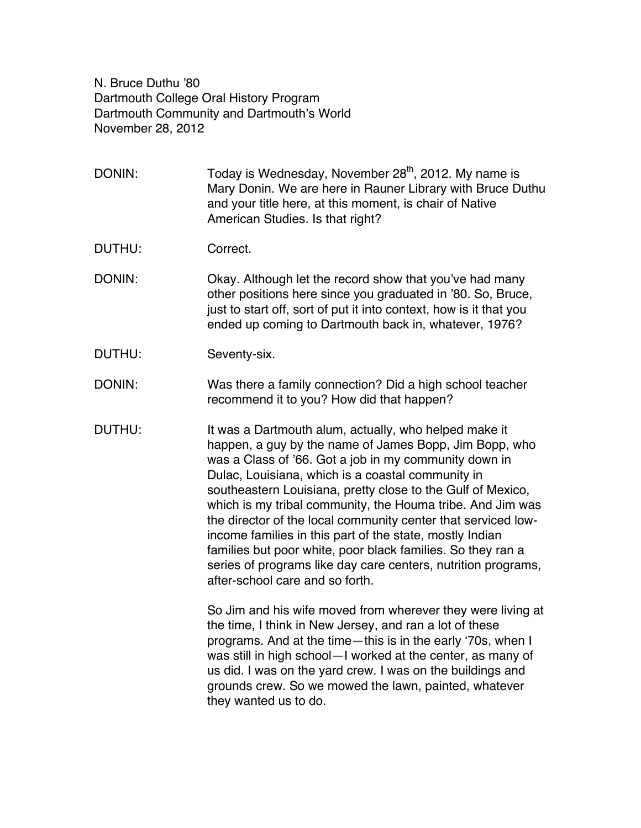N. Bruce Duthu '80 Dartmouth College Oral History Program Dartmouth Community and Dartmouth's World November 28, 2012

DONIN: Today is Wednesday, November  $28<sup>th</sup>$ , 2012. My name is Mary Donin. We are here in Rauner Library with Bruce Duthu and your title here, at this moment, is chair of Native American Studies. Is that right?

DUTHU: Correct.

DONIN: Okay. Although let the record show that you've had many other positions here since you graduated in '80. So, Bruce, just to start off, sort of put it into context, how is it that you ended up coming to Dartmouth back in, whatever, 1976?

DUTHU: Seventy-six.

DONIN: Was there a family connection? Did a high school teacher recommend it to you? How did that happen?

DUTHU: It was a Dartmouth alum, actually, who helped make it happen, a guy by the name of James Bopp, Jim Bopp, who was a Class of '66. Got a job in my community down in Dulac, Louisiana, which is a coastal community in southeastern Louisiana, pretty close to the Gulf of Mexico, which is my tribal community, the Houma tribe. And Jim was the director of the local community center that serviced lowincome families in this part of the state, mostly Indian families but poor white, poor black families. So they ran a series of programs like day care centers, nutrition programs, after-school care and so forth.

> So Jim and his wife moved from wherever they were living at the time, I think in New Jersey, and ran a lot of these programs. And at the time—this is in the early ʻ70s, when I was still in high school—I worked at the center, as many of us did. I was on the yard crew. I was on the buildings and grounds crew. So we mowed the lawn, painted, whatever they wanted us to do.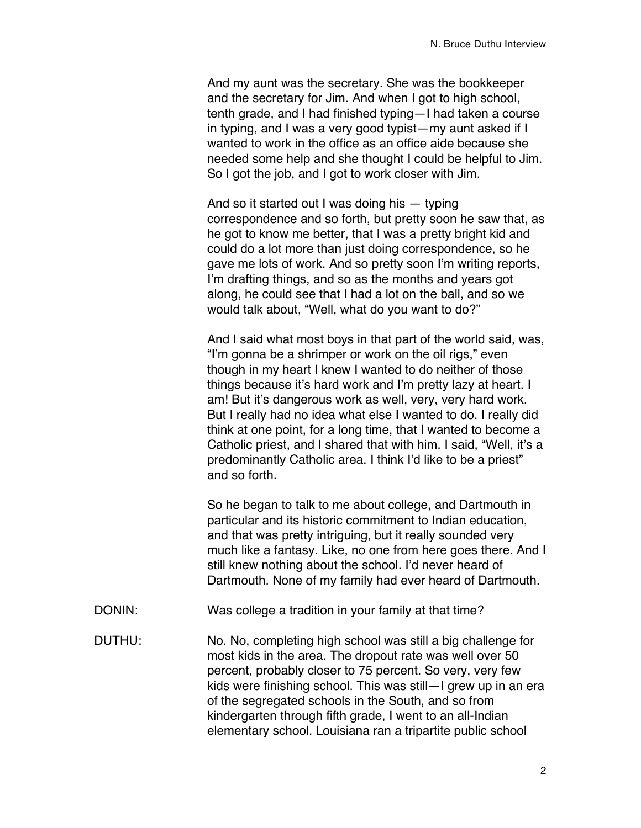And my aunt was the secretary. She was the bookkeeper and the secretary for Jim. And when I got to high school, tenth grade, and I had finished typing—I had taken a course in typing, and I was a very good typist—my aunt asked if I wanted to work in the office as an office aide because she needed some help and she thought I could be helpful to Jim. So I got the job, and I got to work closer with Jim.

And so it started out I was doing his — typing correspondence and so forth, but pretty soon he saw that, as he got to know me better, that I was a pretty bright kid and could do a lot more than just doing correspondence, so he gave me lots of work. And so pretty soon I'm writing reports, I'm drafting things, and so as the months and years got along, he could see that I had a lot on the ball, and so we would talk about, "Well, what do you want to do?"

And I said what most boys in that part of the world said, was, "I'm gonna be a shrimper or work on the oil rigs," even though in my heart I knew I wanted to do neither of those things because it's hard work and I'm pretty lazy at heart. I am! But it's dangerous work as well, very, very hard work. But I really had no idea what else I wanted to do. I really did think at one point, for a long time, that I wanted to become a Catholic priest, and I shared that with him. I said, "Well, it's a predominantly Catholic area. I think I'd like to be a priest" and so forth.

So he began to talk to me about college, and Dartmouth in particular and its historic commitment to Indian education, and that was pretty intriguing, but it really sounded very much like a fantasy. Like, no one from here goes there. And I still knew nothing about the school. I'd never heard of Dartmouth. None of my family had ever heard of Dartmouth.

- DONIN: Was college a tradition in your family at that time?
- DUTHU: No. No, completing high school was still a big challenge for most kids in the area. The dropout rate was well over 50 percent, probably closer to 75 percent. So very, very few kids were finishing school. This was still—I grew up in an era of the segregated schools in the South, and so from kindergarten through fifth grade, I went to an all-Indian elementary school. Louisiana ran a tripartite public school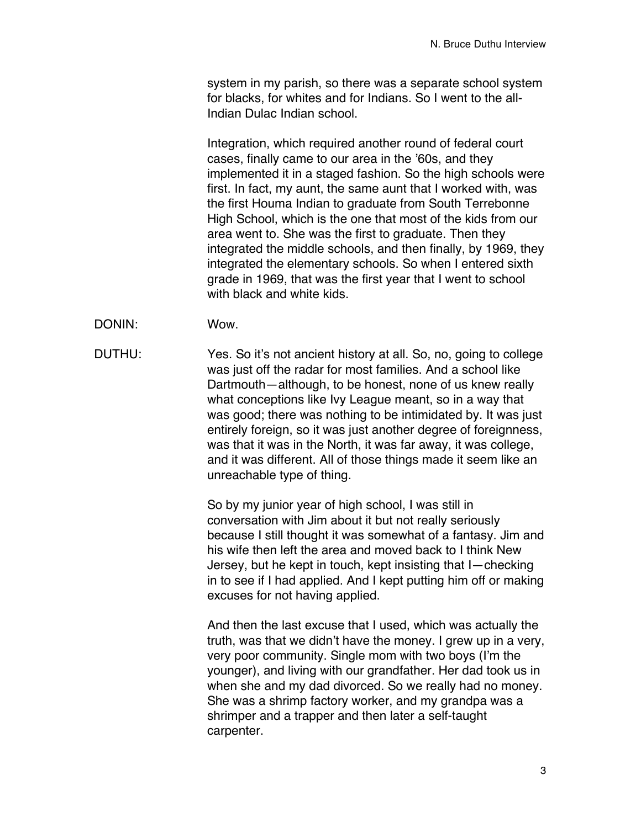system in my parish, so there was a separate school system for blacks, for whites and for Indians. So I went to the all-Indian Dulac Indian school.

Integration, which required another round of federal court cases, finally came to our area in the '60s, and they implemented it in a staged fashion. So the high schools were first. In fact, my aunt, the same aunt that I worked with, was the first Houma Indian to graduate from South Terrebonne High School, which is the one that most of the kids from our area went to. She was the first to graduate. Then they integrated the middle schools, and then finally, by 1969, they integrated the elementary schools. So when I entered sixth grade in 1969, that was the first year that I went to school with black and white kids.

- DONIN: Wow.
- DUTHU: Yes. So it's not ancient history at all. So, no, going to college was just off the radar for most families. And a school like Dartmouth—although, to be honest, none of us knew really what conceptions like Ivy League meant, so in a way that was good; there was nothing to be intimidated by. It was just entirely foreign, so it was just another degree of foreignness, was that it was in the North, it was far away, it was college, and it was different. All of those things made it seem like an unreachable type of thing.

So by my junior year of high school, I was still in conversation with Jim about it but not really seriously because I still thought it was somewhat of a fantasy. Jim and his wife then left the area and moved back to I think New Jersey, but he kept in touch, kept insisting that I—checking in to see if I had applied. And I kept putting him off or making excuses for not having applied.

And then the last excuse that I used, which was actually the truth, was that we didn't have the money. I grew up in a very, very poor community. Single mom with two boys (I'm the younger), and living with our grandfather. Her dad took us in when she and my dad divorced. So we really had no money. She was a shrimp factory worker, and my grandpa was a shrimper and a trapper and then later a self-taught carpenter.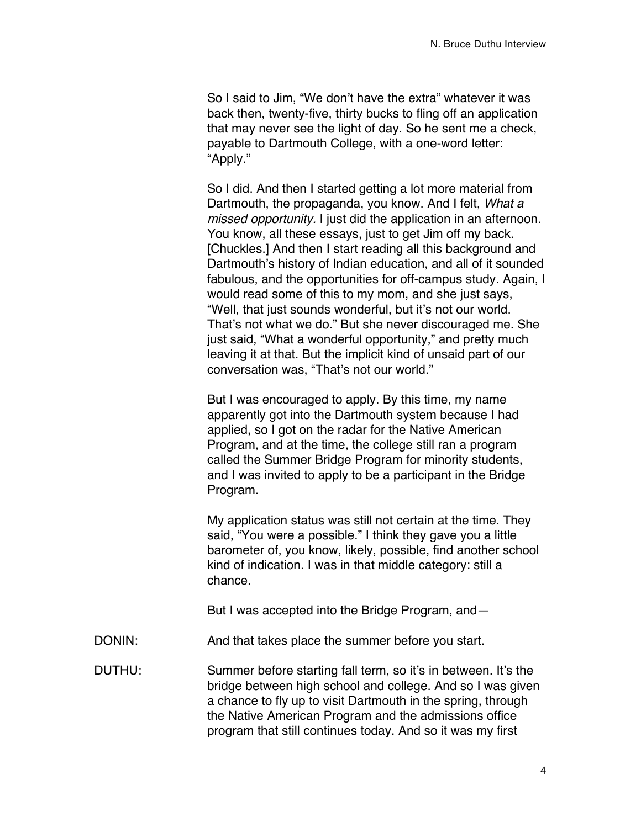So I said to Jim, "We don't have the extra" whatever it was back then, twenty-five, thirty bucks to fling off an application that may never see the light of day. So he sent me a check, payable to Dartmouth College, with a one-word letter: "Apply."

So I did. And then I started getting a lot more material from Dartmouth, the propaganda, you know. And I felt, *What a missed opportunity.* I just did the application in an afternoon. You know, all these essays, just to get Jim off my back. [Chuckles.] And then I start reading all this background and Dartmouth's history of Indian education, and all of it sounded fabulous, and the opportunities for off-campus study. Again, I would read some of this to my mom, and she just says, "Well, that just sounds wonderful, but it's not our world. That's not what we do." But she never discouraged me. She just said, "What a wonderful opportunity," and pretty much leaving it at that. But the implicit kind of unsaid part of our conversation was, "That's not our world."

But I was encouraged to apply. By this time, my name apparently got into the Dartmouth system because I had applied, so I got on the radar for the Native American Program, and at the time, the college still ran a program called the Summer Bridge Program for minority students, and I was invited to apply to be a participant in the Bridge Program.

My application status was still not certain at the time. They said, "You were a possible." I think they gave you a little barometer of, you know, likely, possible, find another school kind of indication. I was in that middle category: still a chance.

But I was accepted into the Bridge Program, and—

DONIN: And that takes place the summer before you start.

DUTHU: Summer before starting fall term, so it's in between. It's the bridge between high school and college. And so I was given a chance to fly up to visit Dartmouth in the spring, through the Native American Program and the admissions office program that still continues today. And so it was my first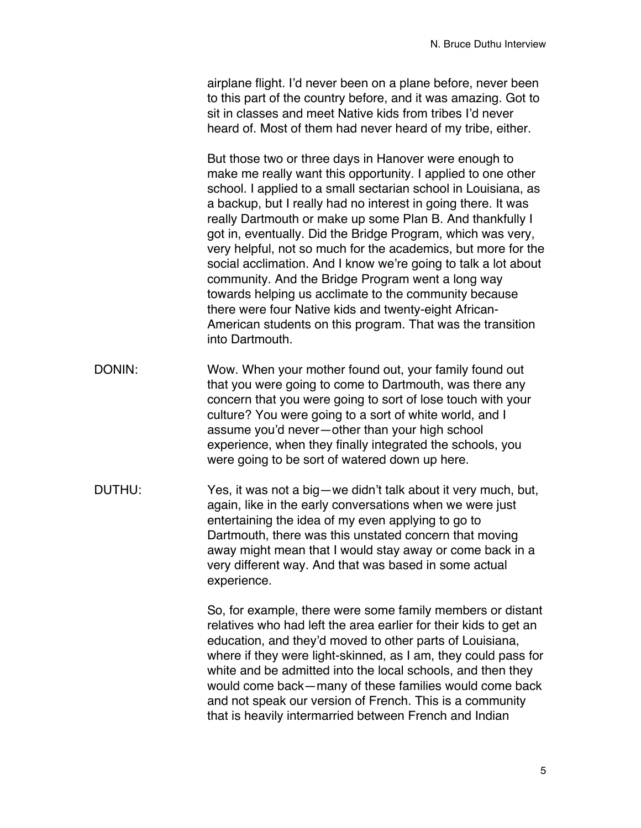airplane flight. I'd never been on a plane before, never been to this part of the country before, and it was amazing. Got to sit in classes and meet Native kids from tribes I'd never heard of. Most of them had never heard of my tribe, either.

But those two or three days in Hanover were enough to make me really want this opportunity. I applied to one other school. I applied to a small sectarian school in Louisiana, as a backup, but I really had no interest in going there. It was really Dartmouth or make up some Plan B. And thankfully I got in, eventually. Did the Bridge Program, which was very, very helpful, not so much for the academics, but more for the social acclimation. And I know we're going to talk a lot about community. And the Bridge Program went a long way towards helping us acclimate to the community because there were four Native kids and twenty-eight African-American students on this program. That was the transition into Dartmouth.

- DONIN: Wow. When your mother found out, your family found out that you were going to come to Dartmouth, was there any concern that you were going to sort of lose touch with your culture? You were going to a sort of white world, and I assume you'd never—other than your high school experience, when they finally integrated the schools, you were going to be sort of watered down up here.
- DUTHU: Yes, it was not a big—we didn't talk about it very much, but, again, like in the early conversations when we were just entertaining the idea of my even applying to go to Dartmouth, there was this unstated concern that moving away might mean that I would stay away or come back in a very different way. And that was based in some actual experience.

So, for example, there were some family members or distant relatives who had left the area earlier for their kids to get an education, and they'd moved to other parts of Louisiana, where if they were light-skinned, as I am, they could pass for white and be admitted into the local schools, and then they would come back—many of these families would come back and not speak our version of French. This is a community that is heavily intermarried between French and Indian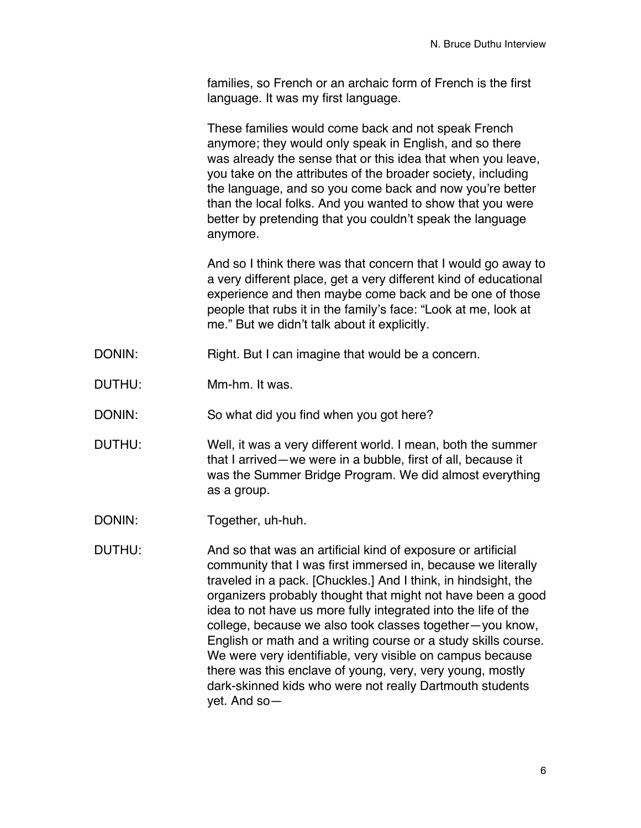families, so French or an archaic form of French is the first language. It was my first language.

These families would come back and not speak French anymore; they would only speak in English, and so there was already the sense that or this idea that when you leave, you take on the attributes of the broader society, including the language, and so you come back and now you're better than the local folks. And you wanted to show that you were better by pretending that you couldn't speak the language anymore.

And so I think there was that concern that I would go away to a very different place, get a very different kind of educational experience and then maybe come back and be one of those people that rubs it in the family's face: "Look at me, look at me." But we didn't talk about it explicitly.

- DONIN: Right. But I can imagine that would be a concern.
- DUTHU: Mm-hm. It was.

DONIN: So what did you find when you got here?

- DUTHU: Well, it was a very different world. I mean, both the summer that I arrived—we were in a bubble, first of all, because it was the Summer Bridge Program. We did almost everything as a group.
- DONIN: Together, uh-huh.
- DUTHU: And so that was an artificial kind of exposure or artificial community that I was first immersed in, because we literally traveled in a pack. [Chuckles.] And I think, in hindsight, the organizers probably thought that might not have been a good idea to not have us more fully integrated into the life of the college, because we also took classes together—you know, English or math and a writing course or a study skills course. We were very identifiable, very visible on campus because there was this enclave of young, very, very young, mostly dark-skinned kids who were not really Dartmouth students yet. And so—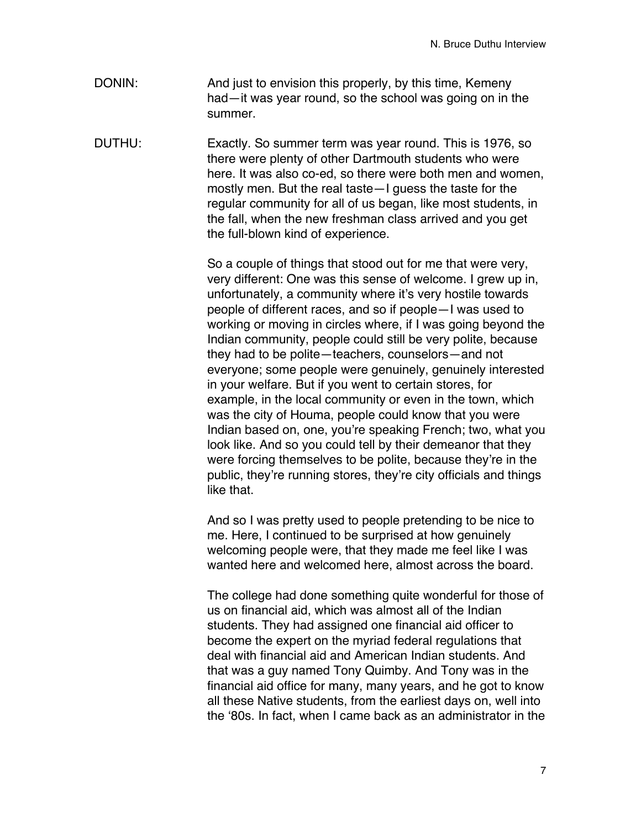- DONIN: And just to envision this properly, by this time, Kemeny had—it was year round, so the school was going on in the summer.
- DUTHU: Exactly. So summer term was year round. This is 1976, so there were plenty of other Dartmouth students who were here. It was also co-ed, so there were both men and women, mostly men. But the real taste—I guess the taste for the regular community for all of us began, like most students, in the fall, when the new freshman class arrived and you get the full-blown kind of experience.

So a couple of things that stood out for me that were very, very different: One was this sense of welcome. I grew up in, unfortunately, a community where it's very hostile towards people of different races, and so if people—I was used to working or moving in circles where, if I was going beyond the Indian community, people could still be very polite, because they had to be polite—teachers, counselors—and not everyone; some people were genuinely, genuinely interested in your welfare. But if you went to certain stores, for example, in the local community or even in the town, which was the city of Houma, people could know that you were Indian based on, one, you're speaking French; two, what you look like. And so you could tell by their demeanor that they were forcing themselves to be polite, because they're in the public, they're running stores, they're city officials and things like that.

And so I was pretty used to people pretending to be nice to me. Here, I continued to be surprised at how genuinely welcoming people were, that they made me feel like I was wanted here and welcomed here, almost across the board.

The college had done something quite wonderful for those of us on financial aid, which was almost all of the Indian students. They had assigned one financial aid officer to become the expert on the myriad federal regulations that deal with financial aid and American Indian students. And that was a guy named Tony Quimby. And Tony was in the financial aid office for many, many years, and he got to know all these Native students, from the earliest days on, well into the ʻ80s. In fact, when I came back as an administrator in the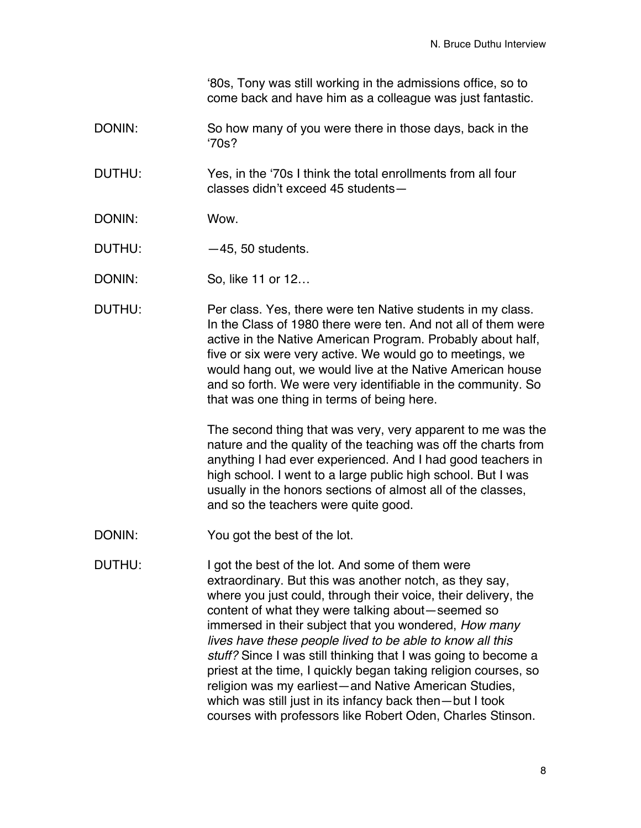ʻ80s, Tony was still working in the admissions office, so to come back and have him as a colleague was just fantastic.

DONIN: So how many of you were there in those days, back in the ʻ70s?

DUTHU: Yes, in the ʻ70s I think the total enrollments from all four classes didn't exceed 45 students—

- DONIN: Wow.
- DUTHU: -45, 50 students.
- DONIN: So, like 11 or 12...
- DUTHU: Per class. Yes, there were ten Native students in my class. In the Class of 1980 there were ten. And not all of them were active in the Native American Program. Probably about half, five or six were very active. We would go to meetings, we would hang out, we would live at the Native American house and so forth. We were very identifiable in the community. So that was one thing in terms of being here.

The second thing that was very, very apparent to me was the nature and the quality of the teaching was off the charts from anything I had ever experienced. And I had good teachers in high school. I went to a large public high school. But I was usually in the honors sections of almost all of the classes, and so the teachers were quite good.

- DONIN: You got the best of the lot.
- DUTHU: I got the best of the lot. And some of them were extraordinary. But this was another notch, as they say, where you just could, through their voice, their delivery, the content of what they were talking about—seemed so immersed in their subject that you wondered, *How many lives have these people lived to be able to know all this stuff?* Since I was still thinking that I was going to become a priest at the time, I quickly began taking religion courses, so religion was my earliest—and Native American Studies, which was still just in its infancy back then—but I took courses with professors like Robert Oden, Charles Stinson.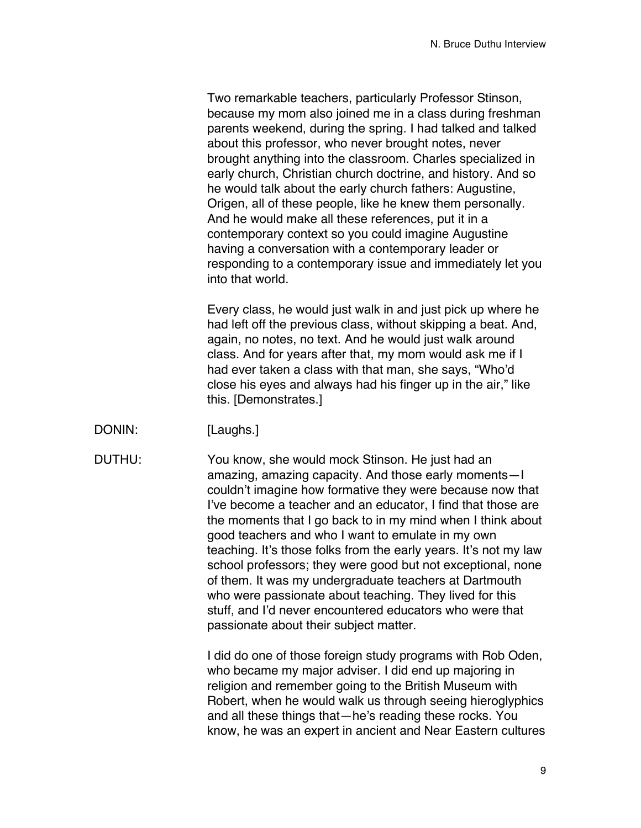Two remarkable teachers, particularly Professor Stinson, because my mom also joined me in a class during freshman parents weekend, during the spring. I had talked and talked about this professor, who never brought notes, never brought anything into the classroom. Charles specialized in early church, Christian church doctrine, and history. And so he would talk about the early church fathers: Augustine, Origen, all of these people, like he knew them personally. And he would make all these references, put it in a contemporary context so you could imagine Augustine having a conversation with a contemporary leader or responding to a contemporary issue and immediately let you into that world.

Every class, he would just walk in and just pick up where he had left off the previous class, without skipping a beat. And, again, no notes, no text. And he would just walk around class. And for years after that, my mom would ask me if I had ever taken a class with that man, she says, "Who'd close his eyes and always had his finger up in the air," like this. [Demonstrates.]

DONIN: [Laughs.]

DUTHU: You know, she would mock Stinson. He just had an amazing, amazing capacity. And those early moments—I couldn't imagine how formative they were because now that I've become a teacher and an educator, I find that those are the moments that I go back to in my mind when I think about good teachers and who I want to emulate in my own teaching. It's those folks from the early years. It's not my law school professors; they were good but not exceptional, none of them. It was my undergraduate teachers at Dartmouth who were passionate about teaching. They lived for this stuff, and I'd never encountered educators who were that passionate about their subject matter.

> I did do one of those foreign study programs with Rob Oden, who became my major adviser. I did end up majoring in religion and remember going to the British Museum with Robert, when he would walk us through seeing hieroglyphics and all these things that—he's reading these rocks. You know, he was an expert in ancient and Near Eastern cultures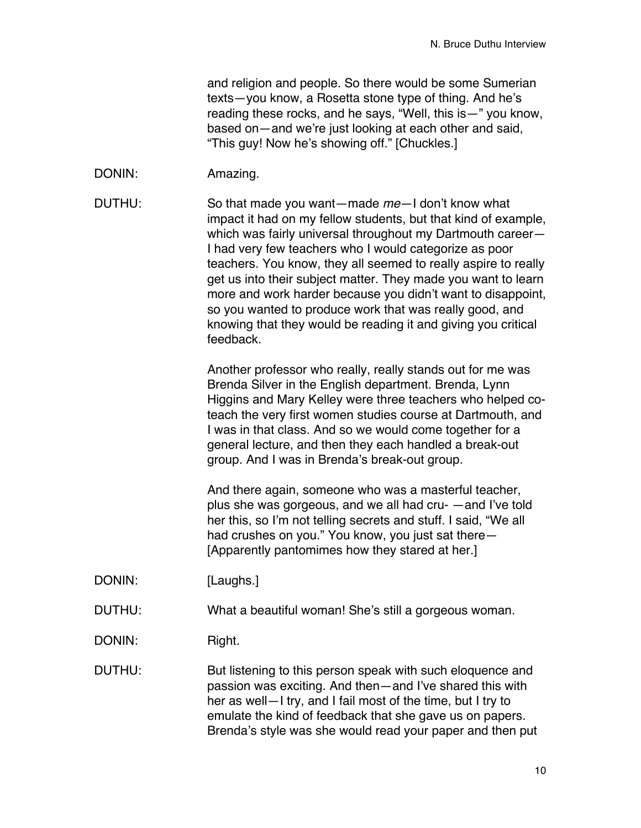and religion and people. So there would be some Sumerian texts—you know, a Rosetta stone type of thing. And he's reading these rocks, and he says, "Well, this is—" you know, based on—and we're just looking at each other and said, "This guy! Now he's showing off." [Chuckles.]

DONIN: Amazing.

DUTHU: So that made you want—made *me*—I don't know what impact it had on my fellow students, but that kind of example, which was fairly universal throughout my Dartmouth career— I had very few teachers who I would categorize as poor teachers. You know, they all seemed to really aspire to really get us into their subject matter. They made you want to learn more and work harder because you didn't want to disappoint, so you wanted to produce work that was really good, and knowing that they would be reading it and giving you critical feedback.

> Another professor who really, really stands out for me was Brenda Silver in the English department. Brenda, Lynn Higgins and Mary Kelley were three teachers who helped coteach the very first women studies course at Dartmouth, and I was in that class. And so we would come together for a general lecture, and then they each handled a break-out group. And I was in Brenda's break-out group.

And there again, someone who was a masterful teacher, plus she was gorgeous, and we all had cru- —and I've told her this, so I'm not telling secrets and stuff. I said, "We all had crushes on you." You know, you just sat there— [Apparently pantomimes how they stared at her.]

- DONIN: [Laughs.]
- DUTHU: What a beautiful woman! She's still a gorgeous woman.
- DONIN: Right.

DUTHU: But listening to this person speak with such eloquence and passion was exciting. And then—and I've shared this with her as well—I try, and I fail most of the time, but I try to emulate the kind of feedback that she gave us on papers. Brenda's style was she would read your paper and then put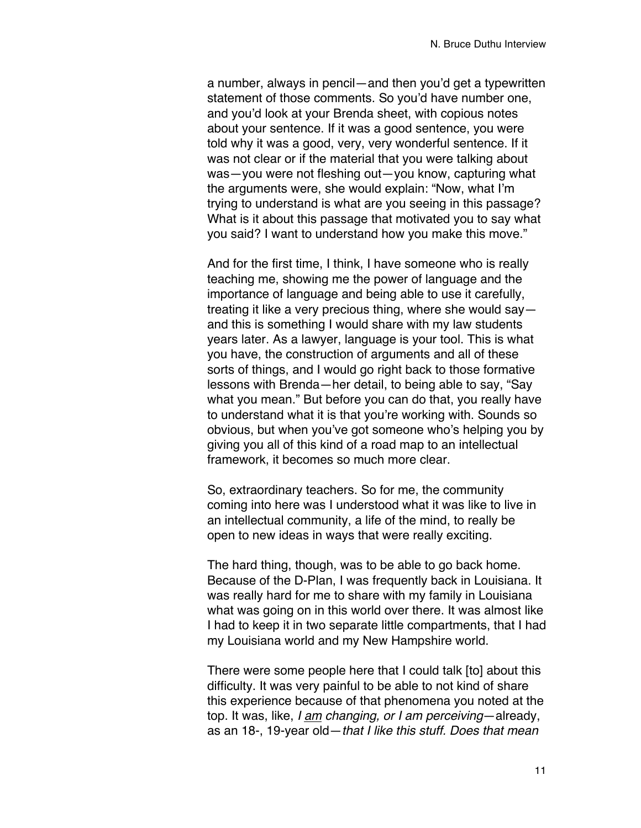a number, always in pencil—and then you'd get a typewritten statement of those comments. So you'd have number one, and you'd look at your Brenda sheet, with copious notes about your sentence. If it was a good sentence, you were told why it was a good, very, very wonderful sentence. If it was not clear or if the material that you were talking about was—you were not fleshing out—you know, capturing what the arguments were, she would explain: "Now, what I'm trying to understand is what are you seeing in this passage? What is it about this passage that motivated you to say what you said? I want to understand how you make this move."

And for the first time, I think, I have someone who is really teaching me, showing me the power of language and the importance of language and being able to use it carefully, treating it like a very precious thing, where she would say and this is something I would share with my law students years later. As a lawyer, language is your tool. This is what you have, the construction of arguments and all of these sorts of things, and I would go right back to those formative lessons with Brenda—her detail, to being able to say, "Say what you mean." But before you can do that, you really have to understand what it is that you're working with. Sounds so obvious, but when you've got someone who's helping you by giving you all of this kind of a road map to an intellectual framework, it becomes so much more clear.

So, extraordinary teachers. So for me, the community coming into here was I understood what it was like to live in an intellectual community, a life of the mind, to really be open to new ideas in ways that were really exciting.

The hard thing, though, was to be able to go back home. Because of the D-Plan, I was frequently back in Louisiana. It was really hard for me to share with my family in Louisiana what was going on in this world over there. It was almost like I had to keep it in two separate little compartments, that I had my Louisiana world and my New Hampshire world.

There were some people here that I could talk [to] about this difficulty. It was very painful to be able to not kind of share this experience because of that phenomena you noted at the top. It was, like, *I am changing, or I am perceiving*—already, as an 18-, 19-year old—*that I like this stuff. Does that mean*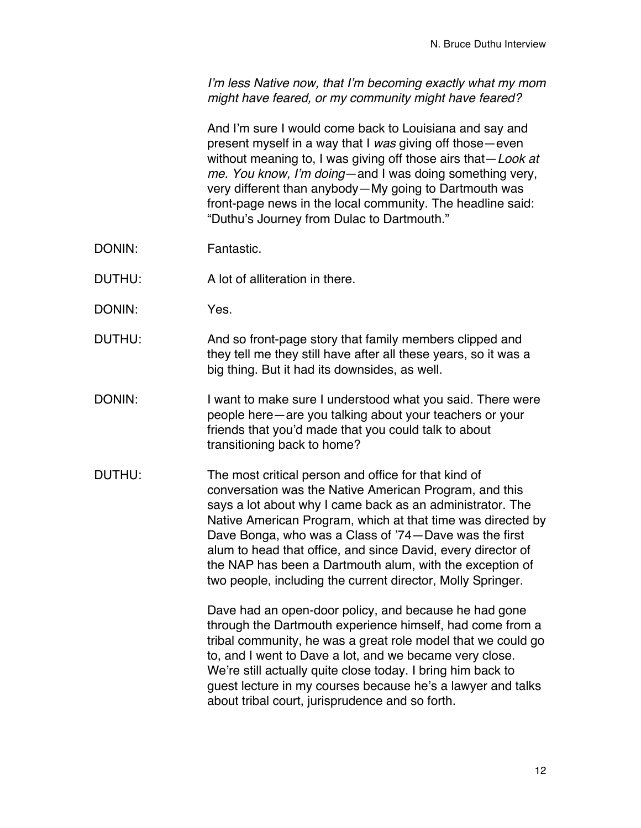*I*'*m less Native now, that I*'*m becoming exactly what my mom might have feared, or my community might have feared?*

And I'm sure I would come back to Louisiana and say and present myself in a way that I *was* giving off those—even without meaning to, I was giving off those airs that—*Look at me. You know, I*'*m doing*—and I was doing something very, very different than anybody—My going to Dartmouth was front-page news in the local community. The headline said: "Duthu's Journey from Dulac to Dartmouth."

- DONIN: Fantastic.
- DUTHU: A lot of alliteration in there.
- DONIN: Yes.
- DUTHU: And so front-page story that family members clipped and they tell me they still have after all these years, so it was a big thing. But it had its downsides, as well.
- DONIN: I want to make sure I understood what you said. There were people here—are you talking about your teachers or your friends that you'd made that you could talk to about transitioning back to home?
- DUTHU: The most critical person and office for that kind of conversation was the Native American Program, and this says a lot about why I came back as an administrator. The Native American Program, which at that time was directed by Dave Bonga, who was a Class of '74—Dave was the first alum to head that office, and since David, every director of the NAP has been a Dartmouth alum, with the exception of two people, including the current director, Molly Springer.

Dave had an open-door policy, and because he had gone through the Dartmouth experience himself, had come from a tribal community, he was a great role model that we could go to, and I went to Dave a lot, and we became very close. We're still actually quite close today. I bring him back to guest lecture in my courses because he's a lawyer and talks about tribal court, jurisprudence and so forth.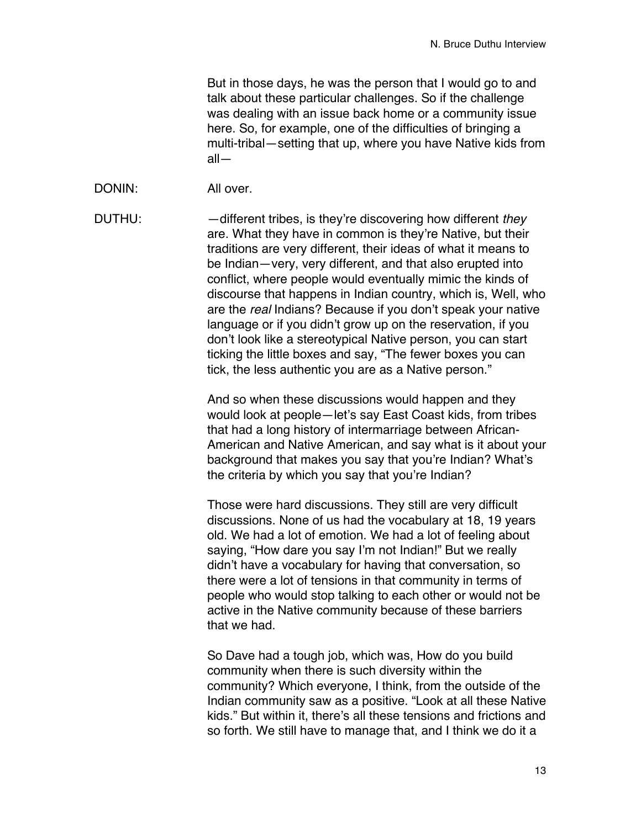But in those days, he was the person that I would go to and talk about these particular challenges. So if the challenge was dealing with an issue back home or a community issue here. So, for example, one of the difficulties of bringing a multi-tribal—setting that up, where you have Native kids from all—

DONIN: All over.

DUTHU: —different tribes, is they're discovering how different *they* are. What they have in common is they're Native, but their traditions are very different, their ideas of what it means to be Indian—very, very different, and that also erupted into conflict, where people would eventually mimic the kinds of discourse that happens in Indian country, which is, Well, who are the *real* Indians? Because if you don't speak your native language or if you didn't grow up on the reservation, if you don't look like a stereotypical Native person, you can start ticking the little boxes and say, "The fewer boxes you can tick, the less authentic you are as a Native person."

> And so when these discussions would happen and they would look at people—let's say East Coast kids, from tribes that had a long history of intermarriage between African-American and Native American, and say what is it about your background that makes you say that you're Indian? What's the criteria by which you say that you're Indian?

Those were hard discussions. They still are very difficult discussions. None of us had the vocabulary at 18, 19 years old. We had a lot of emotion. We had a lot of feeling about saying, "How dare you say I'm not Indian!" But we really didn't have a vocabulary for having that conversation, so there were a lot of tensions in that community in terms of people who would stop talking to each other or would not be active in the Native community because of these barriers that we had.

So Dave had a tough job, which was, How do you build community when there is such diversity within the community? Which everyone, I think, from the outside of the Indian community saw as a positive. "Look at all these Native kids." But within it, there's all these tensions and frictions and so forth. We still have to manage that, and I think we do it a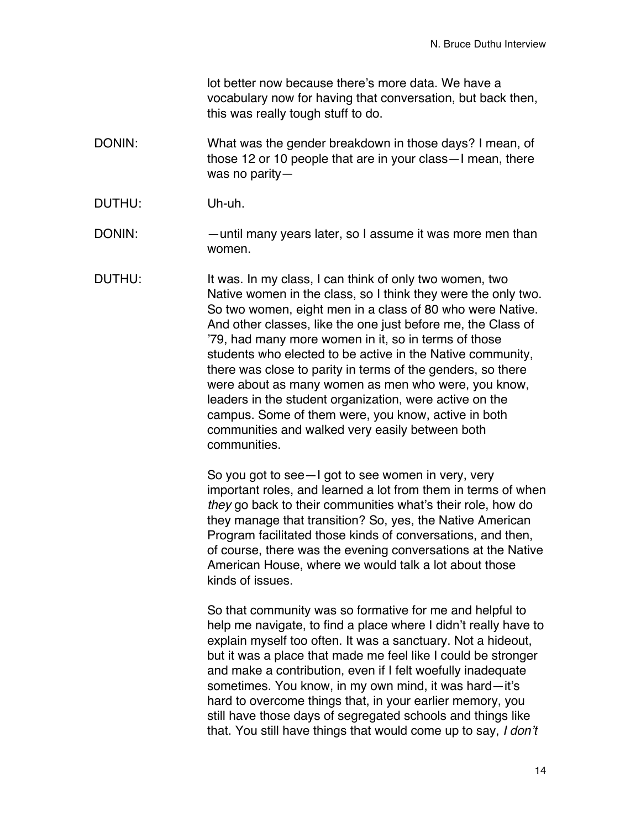lot better now because there's more data. We have a vocabulary now for having that conversation, but back then, this was really tough stuff to do.

- DONIN: What was the gender breakdown in those days? I mean, of those 12 or 10 people that are in your class—I mean, there was no parity—
- DUTHU: Uh-uh.
- DONIN: —until many years later, so I assume it was more men than women.
- DUTHU: It was. In my class, I can think of only two women, two Native women in the class, so I think they were the only two. So two women, eight men in a class of 80 who were Native. And other classes, like the one just before me, the Class of '79, had many more women in it, so in terms of those students who elected to be active in the Native community, there was close to parity in terms of the genders, so there were about as many women as men who were, you know, leaders in the student organization, were active on the campus. Some of them were, you know, active in both communities and walked very easily between both communities.

So you got to see—I got to see women in very, very important roles, and learned a lot from them in terms of when *they* go back to their communities what's their role, how do they manage that transition? So, yes, the Native American Program facilitated those kinds of conversations, and then, of course, there was the evening conversations at the Native American House, where we would talk a lot about those kinds of issues.

So that community was so formative for me and helpful to help me navigate, to find a place where I didn't really have to explain myself too often. It was a sanctuary. Not a hideout, but it was a place that made me feel like I could be stronger and make a contribution, even if I felt woefully inadequate sometimes. You know, in my own mind, it was hard—it's hard to overcome things that, in your earlier memory, you still have those days of segregated schools and things like that. You still have things that would come up to say, *I don*'*t*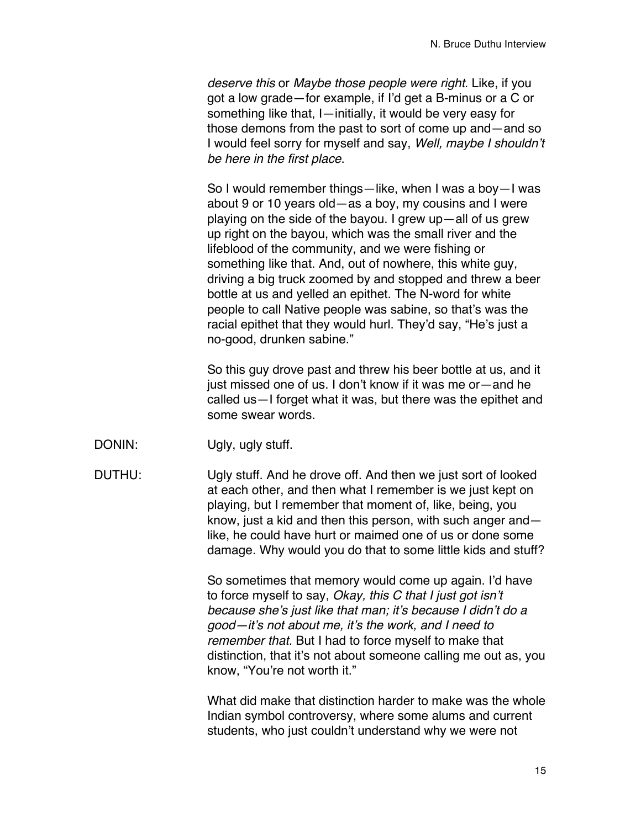*deserve this* or *Maybe those people were right*. Like, if you got a low grade—for example, if I'd get a B-minus or a C or something like that, I—initially, it would be very easy for those demons from the past to sort of come up and—and so I would feel sorry for myself and say, *Well, maybe I shouldn*'*t be here in the first place*.

So I would remember things—like, when I was a boy—I was about 9 or 10 years old—as a boy, my cousins and I were playing on the side of the bayou. I grew up—all of us grew up right on the bayou, which was the small river and the lifeblood of the community, and we were fishing or something like that. And, out of nowhere, this white guy, driving a big truck zoomed by and stopped and threw a beer bottle at us and yelled an epithet. The N-word for white people to call Native people was sabine, so that's was the racial epithet that they would hurl. They'd say, "He's just a no-good, drunken sabine."

So this guy drove past and threw his beer bottle at us, and it just missed one of us. I don't know if it was me or—and he called us—I forget what it was, but there was the epithet and some swear words.

DONIN: Ugly, ugly stuff.

DUTHU: Ugly stuff. And he drove off. And then we just sort of looked at each other, and then what I remember is we just kept on playing, but I remember that moment of, like, being, you know, just a kid and then this person, with such anger and like, he could have hurt or maimed one of us or done some damage. Why would you do that to some little kids and stuff?

> So sometimes that memory would come up again. I'd have to force myself to say, *Okay, this C that I just got isn*'*t because she*'*s just like that man; it*'*s because I didn*'*t do a good—it*'*s not about me, it*'*s the work, and I need to remember that*. But I had to force myself to make that distinction, that it's not about someone calling me out as, you know, "You're not worth it."

> What did make that distinction harder to make was the whole Indian symbol controversy, where some alums and current students, who just couldn't understand why we were not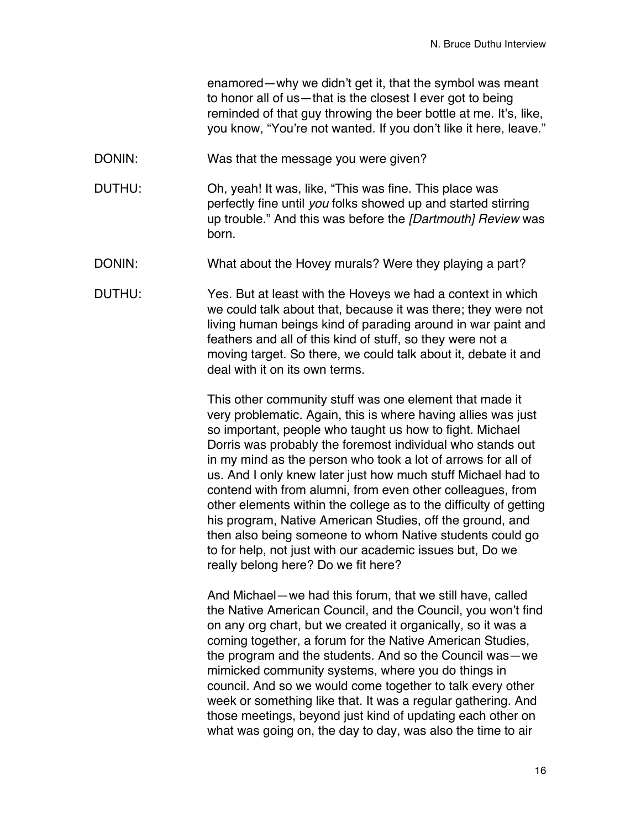enamored—why we didn't get it, that the symbol was meant to honor all of us—that is the closest I ever got to being reminded of that guy throwing the beer bottle at me. It's, like, you know, "You're not wanted. If you don't like it here, leave."

- DONIN: Was that the message you were given?
- DUTHU: Oh, yeah! It was, like, "This was fine. This place was perfectly fine until *you* folks showed up and started stirring up trouble." And this was before the *[Dartmouth] Review* was born.
- DONIN: What about the Hovey murals? Were they playing a part?
- DUTHU: Yes. But at least with the Hoveys we had a context in which we could talk about that, because it was there; they were not living human beings kind of parading around in war paint and feathers and all of this kind of stuff, so they were not a moving target. So there, we could talk about it, debate it and deal with it on its own terms.

This other community stuff was one element that made it very problematic. Again, this is where having allies was just so important, people who taught us how to fight. Michael Dorris was probably the foremost individual who stands out in my mind as the person who took a lot of arrows for all of us. And I only knew later just how much stuff Michael had to contend with from alumni, from even other colleagues, from other elements within the college as to the difficulty of getting his program, Native American Studies, off the ground, and then also being someone to whom Native students could go to for help, not just with our academic issues but, Do we really belong here? Do we fit here?

And Michael—we had this forum, that we still have, called the Native American Council, and the Council, you won't find on any org chart, but we created it organically, so it was a coming together, a forum for the Native American Studies, the program and the students. And so the Council was—we mimicked community systems, where you do things in council. And so we would come together to talk every other week or something like that. It was a regular gathering. And those meetings, beyond just kind of updating each other on what was going on, the day to day, was also the time to air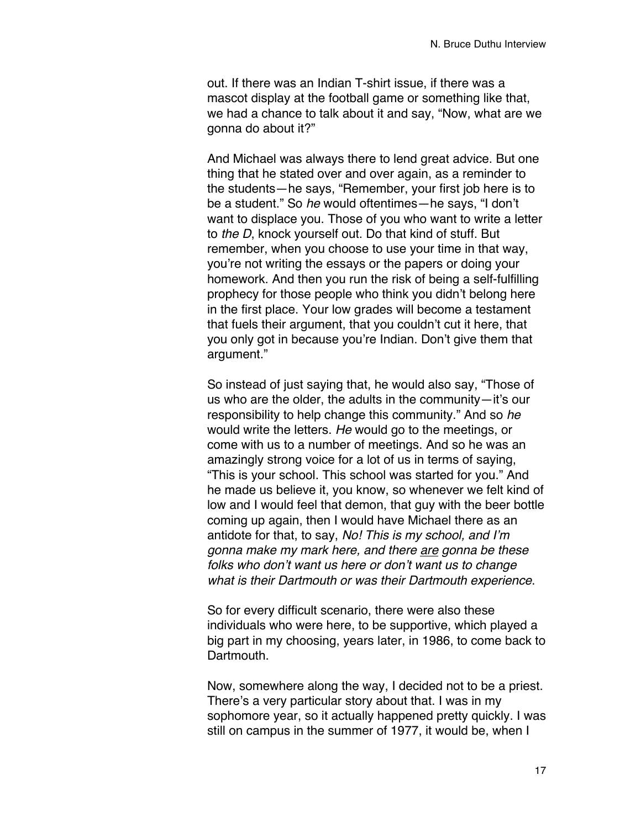out. If there was an Indian T-shirt issue, if there was a mascot display at the football game or something like that, we had a chance to talk about it and say, "Now, what are we gonna do about it?"

And Michael was always there to lend great advice. But one thing that he stated over and over again, as a reminder to the students—he says, "Remember, your first job here is to be a student." So *he* would oftentimes—he says, "I don't want to displace you. Those of you who want to write a letter to *the D*, knock yourself out. Do that kind of stuff. But remember, when you choose to use your time in that way, you're not writing the essays or the papers or doing your homework. And then you run the risk of being a self-fulfilling prophecy for those people who think you didn't belong here in the first place. Your low grades will become a testament that fuels their argument, that you couldn't cut it here, that you only got in because you're Indian. Don't give them that argument."

So instead of just saying that, he would also say, "Those of us who are the older, the adults in the community—it's our responsibility to help change this community." And so *he* would write the letters. *He* would go to the meetings, or come with us to a number of meetings. And so he was an amazingly strong voice for a lot of us in terms of saying, "This is your school. This school was started for you." And he made us believe it, you know, so whenever we felt kind of low and I would feel that demon, that guy with the beer bottle coming up again, then I would have Michael there as an antidote for that, to say, *No! This is my school, and I*'*m gonna make my mark here, and there are gonna be these folks who don*'*t want us here or don*'*t want us to change what is their Dartmouth or was their Dartmouth experience*.

So for every difficult scenario, there were also these individuals who were here, to be supportive, which played a big part in my choosing, years later, in 1986, to come back to Dartmouth.

Now, somewhere along the way, I decided not to be a priest. There's a very particular story about that. I was in my sophomore year, so it actually happened pretty quickly. I was still on campus in the summer of 1977, it would be, when I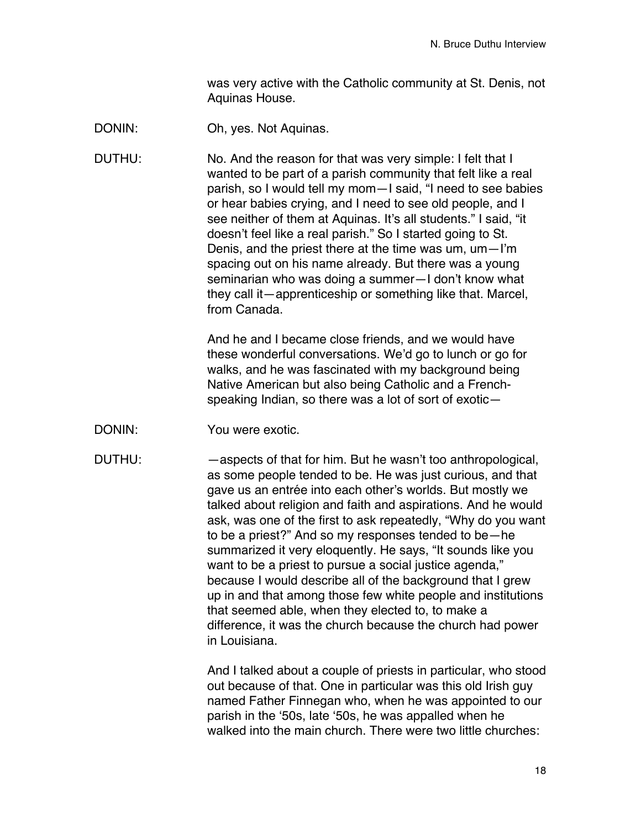was very active with the Catholic community at St. Denis, not Aquinas House.

- DONIN: Oh, yes. Not Aquinas.
- DUTHU: No. And the reason for that was very simple: I felt that I wanted to be part of a parish community that felt like a real parish, so I would tell my mom—I said, "I need to see babies or hear babies crying, and I need to see old people, and I see neither of them at Aquinas. It's all students." I said, "it doesn't feel like a real parish." So I started going to St. Denis, and the priest there at the time was um, um—I'm spacing out on his name already. But there was a young seminarian who was doing a summer—I don't know what they call it—apprenticeship or something like that. Marcel, from Canada.

And he and I became close friends, and we would have these wonderful conversations. We'd go to lunch or go for walks, and he was fascinated with my background being Native American but also being Catholic and a Frenchspeaking Indian, so there was a lot of sort of exotic—

- DONIN: You were exotic.
- 

DUTHU: —aspects of that for him. But he wasn't too anthropological, as some people tended to be. He was just curious, and that gave us an entrée into each other's worlds. But mostly we talked about religion and faith and aspirations. And he would ask, was one of the first to ask repeatedly, "Why do you want to be a priest?" And so my responses tended to be—he summarized it very eloquently. He says, "It sounds like you want to be a priest to pursue a social justice agenda," because I would describe all of the background that I grew up in and that among those few white people and institutions that seemed able, when they elected to, to make a difference, it was the church because the church had power in Louisiana.

> And I talked about a couple of priests in particular, who stood out because of that. One in particular was this old Irish guy named Father Finnegan who, when he was appointed to our parish in the ʻ50s, late ʻ50s, he was appalled when he walked into the main church. There were two little churches: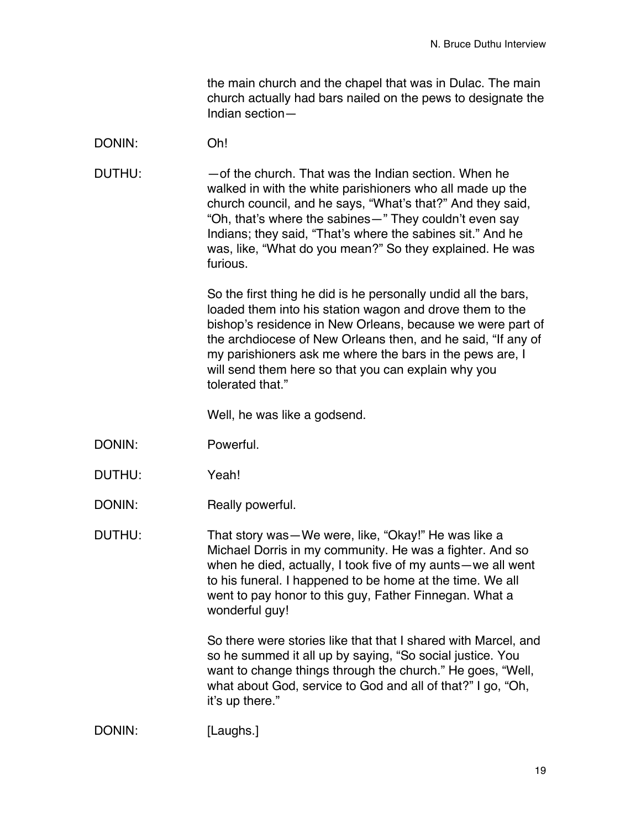the main church and the chapel that was in Dulac. The main church actually had bars nailed on the pews to designate the Indian section—

### DONIN: Oh!

DUTHU: —of the church. That was the Indian section. When he walked in with the white parishioners who all made up the church council, and he says, "What's that?" And they said, "Oh, that's where the sabines—" They couldn't even say Indians; they said, "That's where the sabines sit." And he was, like, "What do you mean?" So they explained. He was furious.

> So the first thing he did is he personally undid all the bars, loaded them into his station wagon and drove them to the bishop's residence in New Orleans, because we were part of the archdiocese of New Orleans then, and he said, "If any of my parishioners ask me where the bars in the pews are, I will send them here so that you can explain why you tolerated that."

Well, he was like a godsend.

- DONIN: Powerful.
- DUTHU: Yeah!
- DONIN: Really powerful.

DUTHU: That story was—We were, like, "Okay!" He was like a Michael Dorris in my community. He was a fighter. And so when he died, actually, I took five of my aunts—we all went to his funeral. I happened to be home at the time. We all went to pay honor to this guy, Father Finnegan. What a wonderful guy!

> So there were stories like that that I shared with Marcel, and so he summed it all up by saying, "So social justice. You want to change things through the church." He goes, "Well, what about God, service to God and all of that?" I go, "Oh, it's up there."

DONIN: [Laughs.]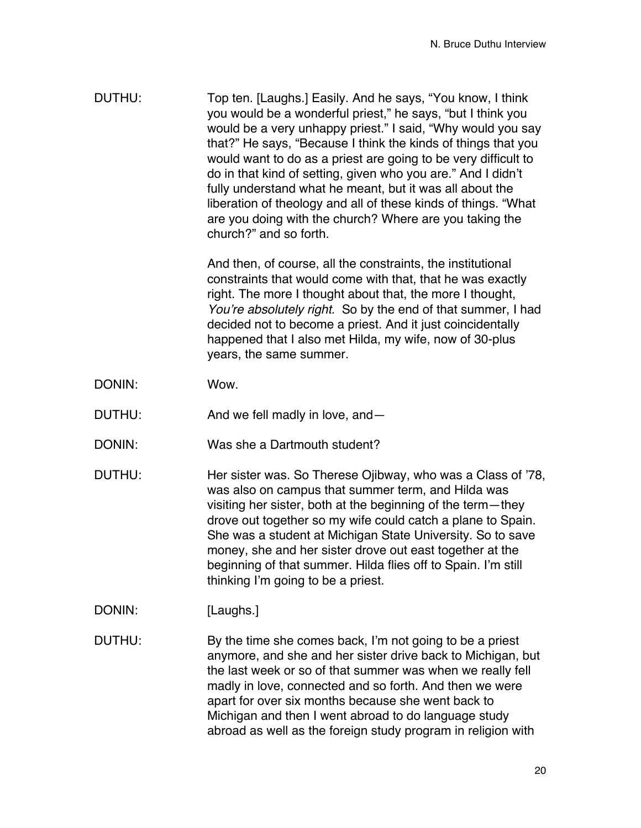DUTHU: Top ten. [Laughs.] Easily. And he says, "You know, I think you would be a wonderful priest," he says, "but I think you would be a very unhappy priest." I said, "Why would you say that?" He says, "Because I think the kinds of things that you would want to do as a priest are going to be very difficult to do in that kind of setting, given who you are." And I didn't fully understand what he meant, but it was all about the liberation of theology and all of these kinds of things. "What are you doing with the church? Where are you taking the church?" and so forth.

> And then, of course, all the constraints, the institutional constraints that would come with that, that he was exactly right. The more I thought about that, the more I thought, *You*'*re absolutely right*. So by the end of that summer, I had decided not to become a priest. And it just coincidentally happened that I also met Hilda, my wife, now of 30-plus years, the same summer.

- DONIN: Wow.
- DUTHU: And we fell madly in love, and —
- DONIN: Was she a Dartmouth student?
- DUTHU: Her sister was. So Therese Ojibway, who was a Class of '78, was also on campus that summer term, and Hilda was visiting her sister, both at the beginning of the term—they drove out together so my wife could catch a plane to Spain. She was a student at Michigan State University. So to save money, she and her sister drove out east together at the beginning of that summer. Hilda flies off to Spain. I'm still thinking I'm going to be a priest.
- DONIN: [Laughs.]
- DUTHU: By the time she comes back, I'm not going to be a priest anymore, and she and her sister drive back to Michigan, but the last week or so of that summer was when we really fell madly in love, connected and so forth. And then we were apart for over six months because she went back to Michigan and then I went abroad to do language study abroad as well as the foreign study program in religion with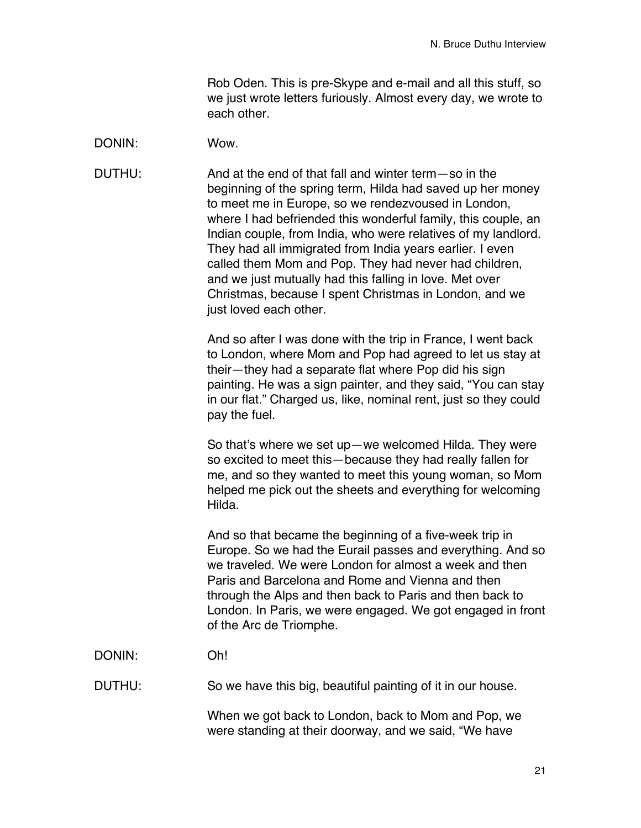Rob Oden. This is pre-Skype and e-mail and all this stuff, so we just wrote letters furiously. Almost every day, we wrote to each other.

#### DONIN: Wow.

DUTHU: And at the end of that fall and winter term—so in the beginning of the spring term, Hilda had saved up her money to meet me in Europe, so we rendezvoused in London, where I had befriended this wonderful family, this couple, an Indian couple, from India, who were relatives of my landlord. They had all immigrated from India years earlier. I even called them Mom and Pop. They had never had children, and we just mutually had this falling in love. Met over Christmas, because I spent Christmas in London, and we just loved each other.

> And so after I was done with the trip in France, I went back to London, where Mom and Pop had agreed to let us stay at their—they had a separate flat where Pop did his sign painting. He was a sign painter, and they said, "You can stay in our flat." Charged us, like, nominal rent, just so they could pay the fuel.

> So that's where we set up—we welcomed Hilda. They were so excited to meet this—because they had really fallen for me, and so they wanted to meet this young woman, so Mom helped me pick out the sheets and everything for welcoming Hilda.

And so that became the beginning of a five-week trip in Europe. So we had the Eurail passes and everything. And so we traveled. We were London for almost a week and then Paris and Barcelona and Rome and Vienna and then through the Alps and then back to Paris and then back to London. In Paris, we were engaged. We got engaged in front of the Arc de Triomphe.

# DONIN: Oh!

DUTHU: So we have this big, beautiful painting of it in our house.

When we got back to London, back to Mom and Pop, we were standing at their doorway, and we said, "We have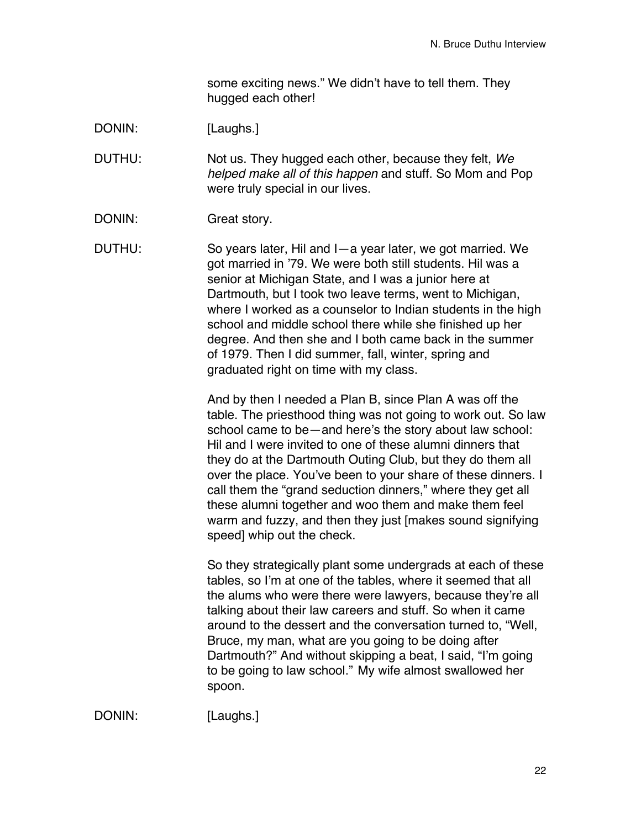some exciting news." We didn't have to tell them. They hugged each other!

DONIN: [Laughs.]

DUTHU: Not us. They hugged each other, because they felt, *We helped make all of this happen* and stuff. So Mom and Pop were truly special in our lives.

DONIN: Great story.

DUTHU: So years later, Hil and I—a year later, we got married. We got married in '79. We were both still students. Hil was a senior at Michigan State, and I was a junior here at Dartmouth, but I took two leave terms, went to Michigan, where I worked as a counselor to Indian students in the high school and middle school there while she finished up her degree. And then she and I both came back in the summer of 1979. Then I did summer, fall, winter, spring and graduated right on time with my class.

> And by then I needed a Plan B, since Plan A was off the table. The priesthood thing was not going to work out. So law school came to be—and here's the story about law school: Hil and I were invited to one of these alumni dinners that they do at the Dartmouth Outing Club, but they do them all over the place. You've been to your share of these dinners. I call them the "grand seduction dinners," where they get all these alumni together and woo them and make them feel warm and fuzzy, and then they just [makes sound signifying speed] whip out the check.

> So they strategically plant some undergrads at each of these tables, so I'm at one of the tables, where it seemed that all the alums who were there were lawyers, because they're all talking about their law careers and stuff. So when it came around to the dessert and the conversation turned to, "Well, Bruce, my man, what are you going to be doing after Dartmouth?" And without skipping a beat, I said, "I'm going to be going to law school." My wife almost swallowed her spoon.

DONIN: [Laughs.]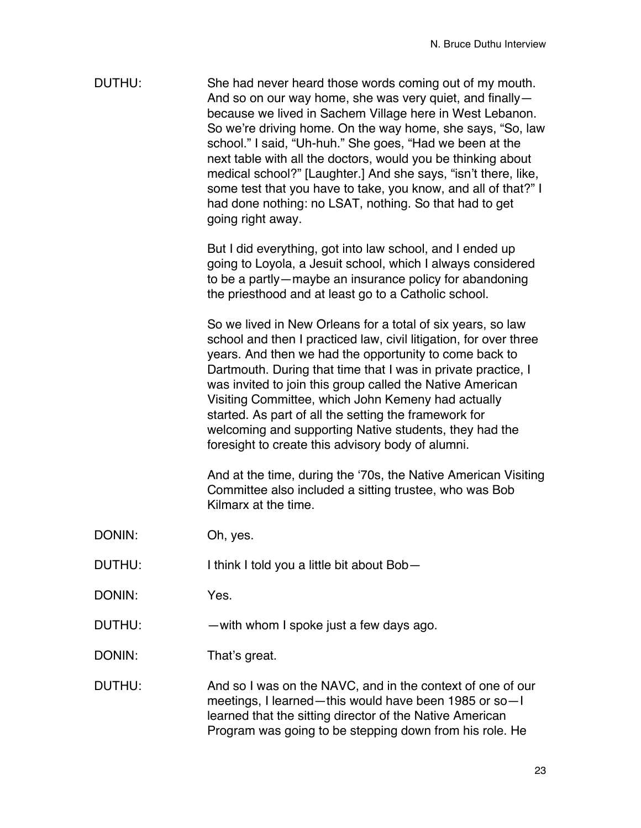| DUTHU: | She had never heard those words coming out of my mouth.        |
|--------|----------------------------------------------------------------|
|        | And so on our way home, she was very quiet, and finally-       |
|        | because we lived in Sachem Village here in West Lebanon.       |
|        | So we're driving home. On the way home, she says, "So, law     |
|        | school." I said, "Uh-huh." She goes, "Had we been at the       |
|        | next table with all the doctors, would you be thinking about   |
|        | medical school?" [Laughter.] And she says, "isn't there, like, |
|        | some test that you have to take, you know, and all of that?" I |
|        | had done nothing: no LSAT, nothing. So that had to get         |
|        | going right away.                                              |

But I did everything, got into law school, and I ended up going to Loyola, a Jesuit school, which I always considered to be a partly—maybe an insurance policy for abandoning the priesthood and at least go to a Catholic school.

So we lived in New Orleans for a total of six years, so law school and then I practiced law, civil litigation, for over three years. And then we had the opportunity to come back to Dartmouth. During that time that I was in private practice, I was invited to join this group called the Native American Visiting Committee, which John Kemeny had actually started. As part of all the setting the framework for welcoming and supporting Native students, they had the foresight to create this advisory body of alumni.

And at the time, during the ʻ70s, the Native American Visiting Committee also included a sitting trustee, who was Bob Kilmarx at the time.

- DONIN: Oh, yes.
- DUTHU: I think I told you a little bit about Bob-
- DONIN: Yes.
- DUTHU: with whom I spoke just a few days ago.
- DONIN: That's great.
- DUTHU: And so I was on the NAVC, and in the context of one of our meetings, I learned—this would have been 1985 or so—I learned that the sitting director of the Native American Program was going to be stepping down from his role. He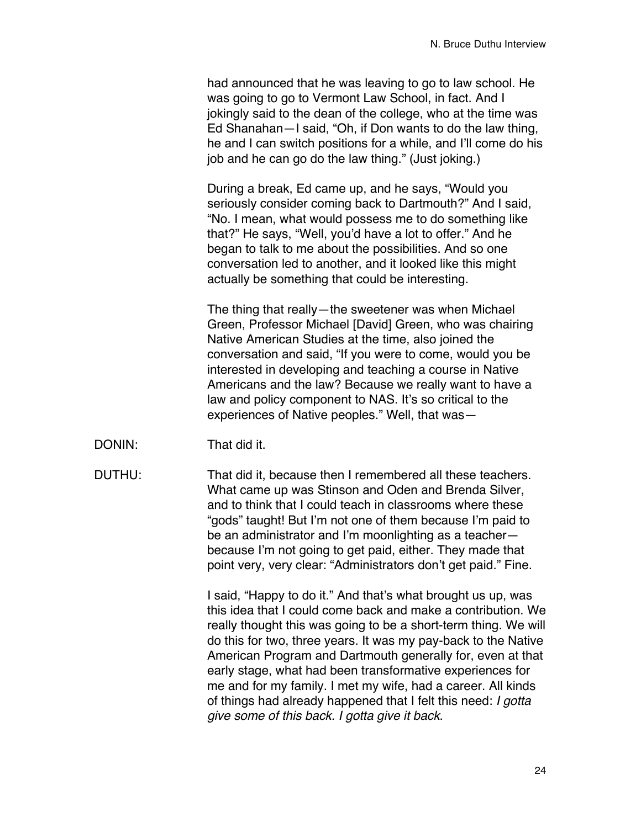had announced that he was leaving to go to law school. He was going to go to Vermont Law School, in fact. And I jokingly said to the dean of the college, who at the time was Ed Shanahan—I said, "Oh, if Don wants to do the law thing, he and I can switch positions for a while, and I'll come do his job and he can go do the law thing." (Just joking.)

During a break, Ed came up, and he says, "Would you seriously consider coming back to Dartmouth?" And I said, "No. I mean, what would possess me to do something like that?" He says, "Well, you'd have a lot to offer." And he began to talk to me about the possibilities. And so one conversation led to another, and it looked like this might actually be something that could be interesting.

The thing that really—the sweetener was when Michael Green, Professor Michael [David] Green, who was chairing Native American Studies at the time, also joined the conversation and said, "If you were to come, would you be interested in developing and teaching a course in Native Americans and the law? Because we really want to have a law and policy component to NAS. It's so critical to the experiences of Native peoples." Well, that was—

DONIN: That did it.

DUTHU: That did it, because then I remembered all these teachers. What came up was Stinson and Oden and Brenda Silver, and to think that I could teach in classrooms where these "gods" taught! But I'm not one of them because I'm paid to be an administrator and I'm moonlighting as a teacher because I'm not going to get paid, either. They made that point very, very clear: "Administrators don't get paid." Fine.

> I said, "Happy to do it." And that's what brought us up, was this idea that I could come back and make a contribution. We really thought this was going to be a short-term thing. We will do this for two, three years. It was my pay-back to the Native American Program and Dartmouth generally for, even at that early stage, what had been transformative experiences for me and for my family. I met my wife, had a career. All kinds of things had already happened that I felt this need: *I gotta give some of this back. I gotta give it back*.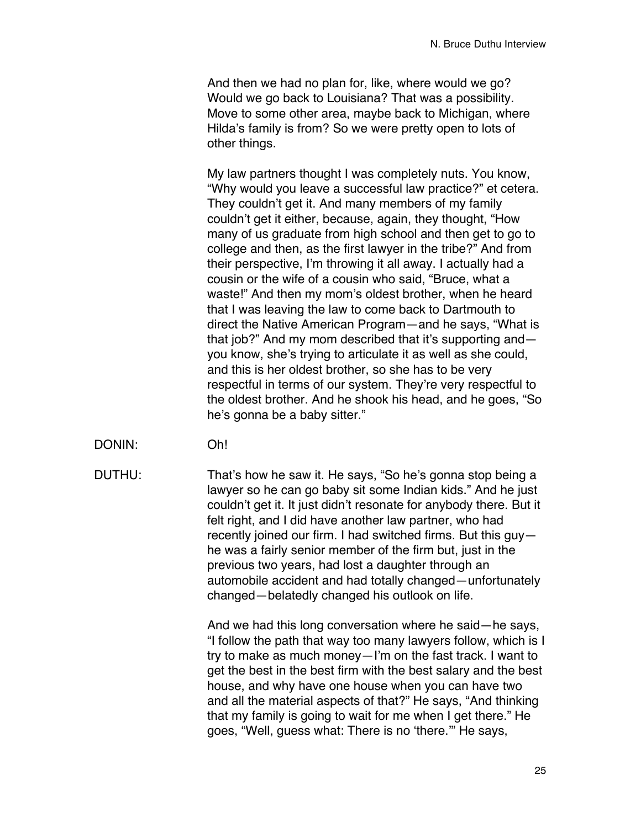And then we had no plan for, like, where would we go? Would we go back to Louisiana? That was a possibility. Move to some other area, maybe back to Michigan, where Hilda's family is from? So we were pretty open to lots of other things.

My law partners thought I was completely nuts. You know, "Why would you leave a successful law practice?" et cetera. They couldn't get it. And many members of my family couldn't get it either, because, again, they thought, "How many of us graduate from high school and then get to go to college and then, as the first lawyer in the tribe?" And from their perspective, I'm throwing it all away. I actually had a cousin or the wife of a cousin who said, "Bruce, what a waste!" And then my mom's oldest brother, when he heard that I was leaving the law to come back to Dartmouth to direct the Native American Program—and he says, "What is that job?" And my mom described that it's supporting and you know, she's trying to articulate it as well as she could, and this is her oldest brother, so she has to be very respectful in terms of our system. They're very respectful to the oldest brother. And he shook his head, and he goes, "So he's gonna be a baby sitter."

- DONIN: Oh!
- 

DUTHU: That's how he saw it. He says, "So he's gonna stop being a lawyer so he can go baby sit some Indian kids." And he just couldn't get it. It just didn't resonate for anybody there. But it felt right, and I did have another law partner, who had recently joined our firm. I had switched firms. But this guy he was a fairly senior member of the firm but, just in the previous two years, had lost a daughter through an automobile accident and had totally changed—unfortunately changed—belatedly changed his outlook on life.

> And we had this long conversation where he said—he says, "I follow the path that way too many lawyers follow, which is I try to make as much money—I'm on the fast track. I want to get the best in the best firm with the best salary and the best house, and why have one house when you can have two and all the material aspects of that?" He says, "And thinking that my family is going to wait for me when I get there." He goes, "Well, guess what: There is no ʻthere.'" He says,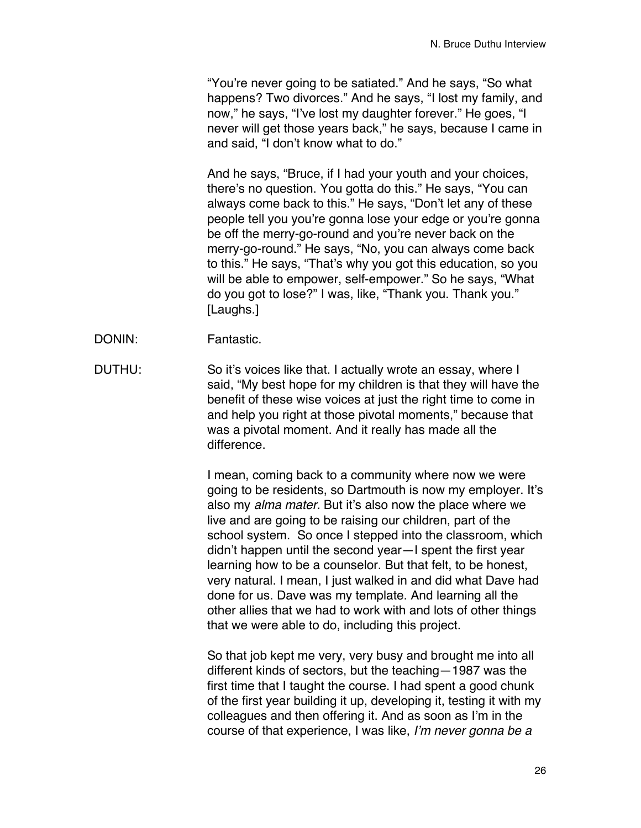"You're never going to be satiated." And he says, "So what happens? Two divorces." And he says, "I lost my family, and now," he says, "I've lost my daughter forever." He goes, "I never will get those years back," he says, because I came in and said, "I don't know what to do."

And he says, "Bruce, if I had your youth and your choices, there's no question. You gotta do this." He says, "You can always come back to this." He says, "Don't let any of these people tell you you're gonna lose your edge or you're gonna be off the merry-go-round and you're never back on the merry-go-round." He says, "No, you can always come back to this." He says, "That's why you got this education, so you will be able to empower, self-empower." So he says, "What do you got to lose?" I was, like, "Thank you. Thank you." [Laughs.]

- DONIN: Fantastic.
- DUTHU: So it's voices like that. I actually wrote an essay, where I said, "My best hope for my children is that they will have the benefit of these wise voices at just the right time to come in and help you right at those pivotal moments," because that was a pivotal moment. And it really has made all the difference.

I mean, coming back to a community where now we were going to be residents, so Dartmouth is now my employer. It's also my *alma mater.* But it's also now the place where we live and are going to be raising our children, part of the school system. So once I stepped into the classroom, which didn't happen until the second year—I spent the first year learning how to be a counselor. But that felt, to be honest, very natural. I mean, I just walked in and did what Dave had done for us. Dave was my template. And learning all the other allies that we had to work with and lots of other things that we were able to do, including this project.

So that job kept me very, very busy and brought me into all different kinds of sectors, but the teaching—1987 was the first time that I taught the course. I had spent a good chunk of the first year building it up, developing it, testing it with my colleagues and then offering it. And as soon as I'm in the course of that experience, I was like, *I*'*m never gonna be a*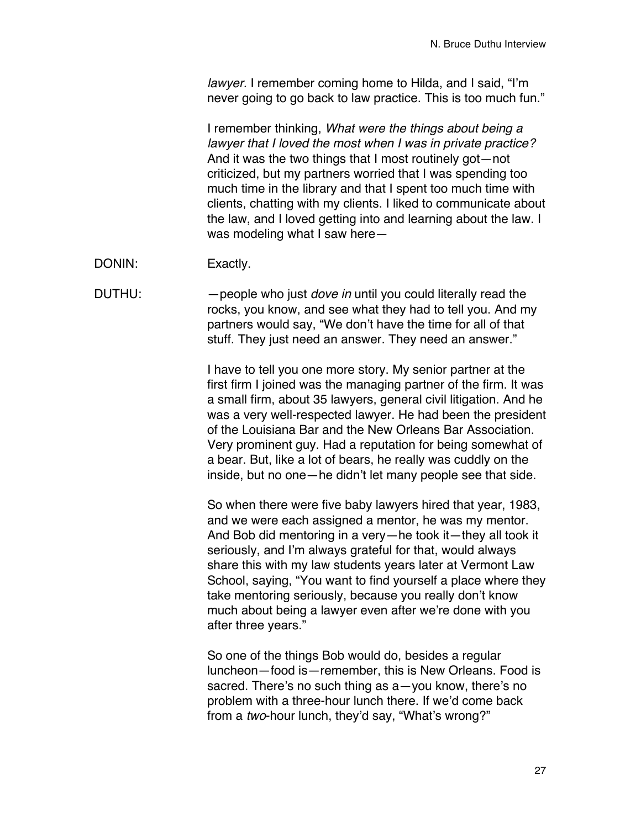*lawyer.* I remember coming home to Hilda, and I said, "I'm never going to go back to law practice. This is too much fun."

I remember thinking, *What were the things about being a lawyer that I loved the most when I was in private practice?* And it was the two things that I most routinely got—not criticized, but my partners worried that I was spending too much time in the library and that I spent too much time with clients, chatting with my clients. I liked to communicate about the law, and I loved getting into and learning about the law. I was modeling what I saw here—

DONIN: Exactly.

DUTHU: —people who just *dove in* until you could literally read the rocks, you know, and see what they had to tell you. And my partners would say, "We don't have the time for all of that stuff. They just need an answer. They need an answer."

> I have to tell you one more story. My senior partner at the first firm I joined was the managing partner of the firm. It was a small firm, about 35 lawyers, general civil litigation. And he was a very well-respected lawyer. He had been the president of the Louisiana Bar and the New Orleans Bar Association. Very prominent guy. Had a reputation for being somewhat of a bear. But, like a lot of bears, he really was cuddly on the inside, but no one—he didn't let many people see that side.

> So when there were five baby lawyers hired that year, 1983, and we were each assigned a mentor, he was my mentor. And Bob did mentoring in a very—he took it—they all took it seriously, and I'm always grateful for that, would always share this with my law students years later at Vermont Law School, saying, "You want to find yourself a place where they take mentoring seriously, because you really don't know much about being a lawyer even after we're done with you after three years."

So one of the things Bob would do, besides a regular luncheon—food is—remember, this is New Orleans. Food is sacred. There's no such thing as a—you know, there's no problem with a three-hour lunch there. If we'd come back from a *two*-hour lunch, they'd say, "What's wrong?"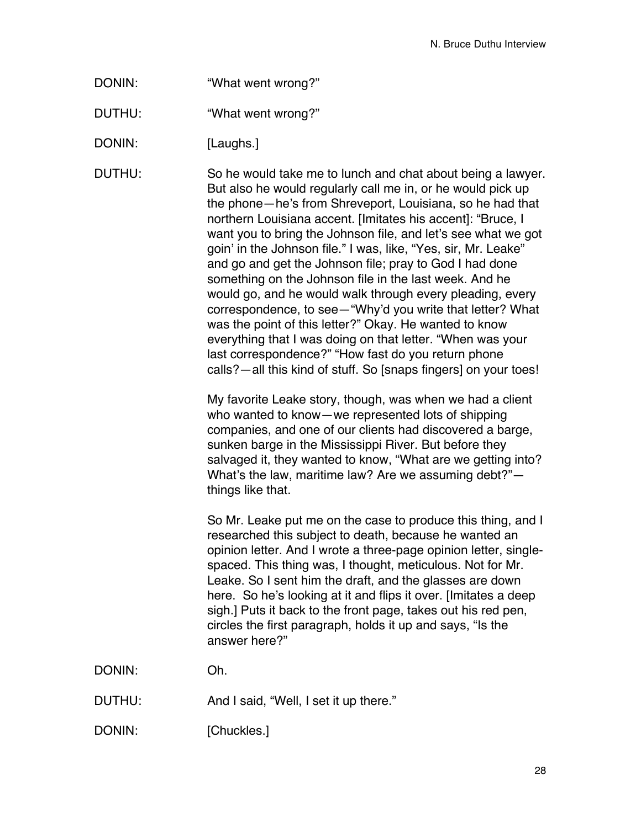DONIN: "What went wrong?"

DUTHU: "What went wrong?"

DONIN: [Laughs.]

DUTHU: So he would take me to lunch and chat about being a lawyer. But also he would regularly call me in, or he would pick up the phone—he's from Shreveport, Louisiana, so he had that northern Louisiana accent. [Imitates his accent]: "Bruce, I want you to bring the Johnson file, and let's see what we got goin' in the Johnson file." I was, like, "Yes, sir, Mr. Leake" and go and get the Johnson file; pray to God I had done something on the Johnson file in the last week. And he would go, and he would walk through every pleading, every correspondence, to see—"Why'd you write that letter? What was the point of this letter?" Okay. He wanted to know everything that I was doing on that letter. "When was your last correspondence?" "How fast do you return phone calls?—all this kind of stuff. So [snaps fingers] on your toes!

> My favorite Leake story, though, was when we had a client who wanted to know—we represented lots of shipping companies, and one of our clients had discovered a barge, sunken barge in the Mississippi River. But before they salvaged it, they wanted to know, "What are we getting into? What's the law, maritime law? Are we assuming debt?" things like that.

> So Mr. Leake put me on the case to produce this thing, and I researched this subject to death, because he wanted an opinion letter. And I wrote a three-page opinion letter, singlespaced. This thing was, I thought, meticulous. Not for Mr. Leake. So I sent him the draft, and the glasses are down here. So he's looking at it and flips it over. [Imitates a deep sigh.] Puts it back to the front page, takes out his red pen, circles the first paragraph, holds it up and says, "Is the answer here?"

DONIN: Oh.

- DUTHU: And I said, "Well, I set it up there."
- DONIN: [Chuckles.]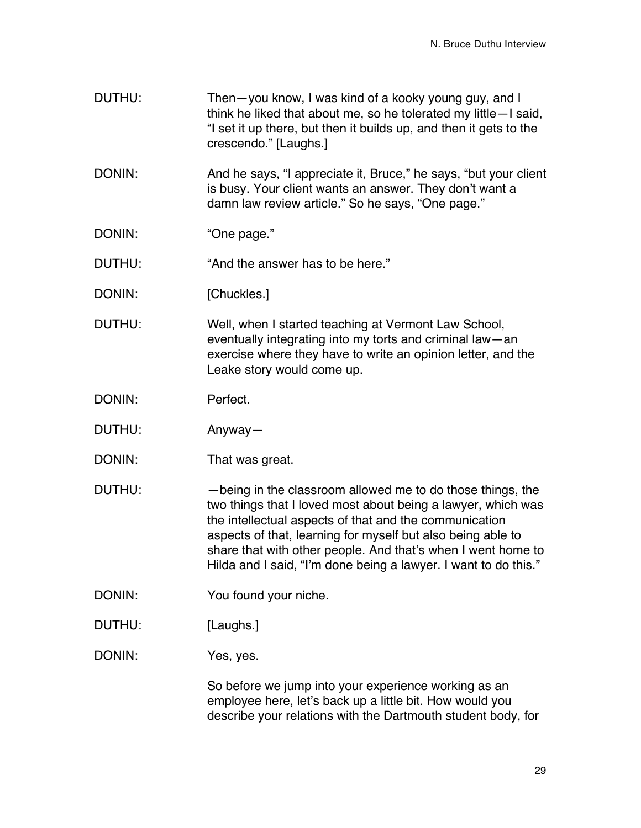- DUTHU: Then—you know, I was kind of a kooky young guy, and I think he liked that about me, so he tolerated my little—I said, "I set it up there, but then it builds up, and then it gets to the crescendo." [Laughs.]
- DONIN: And he says, "I appreciate it, Bruce," he says, "but your client is busy. Your client wants an answer. They don't want a damn law review article." So he says, "One page."
- DONIN: "One page."

DUTHU: "And the answer has to be here."

- DONIN: [Chuckles.]
- DUTHU: Well, when I started teaching at Vermont Law School, eventually integrating into my torts and criminal law—an exercise where they have to write an opinion letter, and the Leake story would come up.
- DONIN: Perfect.
- DUTHU: Anyway—
- DONIN: That was great.
- DUTHU: —being in the classroom allowed me to do those things, the two things that I loved most about being a lawyer, which was the intellectual aspects of that and the communication aspects of that, learning for myself but also being able to share that with other people. And that's when I went home to Hilda and I said, "I'm done being a lawyer. I want to do this."
- DONIN: You found your niche.
- DUTHU: [Laughs.]
- DONIN: Yes, yes.

So before we jump into your experience working as an employee here, let's back up a little bit. How would you describe your relations with the Dartmouth student body, for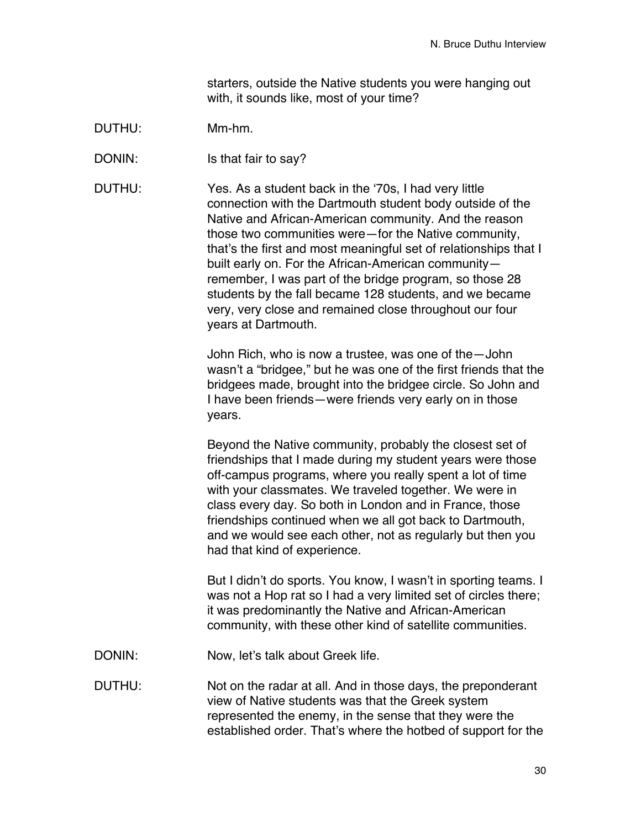starters, outside the Native students you were hanging out with, it sounds like, most of your time?

### DUTHU: Mm-hm.

DONIN: Is that fair to say?

DUTHU: Yes. As a student back in the ʻ70s, I had very little connection with the Dartmouth student body outside of the Native and African-American community. And the reason those two communities were—for the Native community, that's the first and most meaningful set of relationships that I built early on. For the African-American community remember, I was part of the bridge program, so those 28 students by the fall became 128 students, and we became very, very close and remained close throughout our four years at Dartmouth.

> John Rich, who is now a trustee, was one of the—John wasn't a "bridgee," but he was one of the first friends that the bridgees made, brought into the bridgee circle. So John and I have been friends—were friends very early on in those years.

Beyond the Native community, probably the closest set of friendships that I made during my student years were those off-campus programs, where you really spent a lot of time with your classmates. We traveled together. We were in class every day. So both in London and in France, those friendships continued when we all got back to Dartmouth, and we would see each other, not as regularly but then you had that kind of experience.

But I didn't do sports. You know, I wasn't in sporting teams. I was not a Hop rat so I had a very limited set of circles there; it was predominantly the Native and African-American community, with these other kind of satellite communities.

DONIN: Now, let's talk about Greek life.

DUTHU: Not on the radar at all. And in those days, the preponderant view of Native students was that the Greek system represented the enemy, in the sense that they were the established order. That's where the hotbed of support for the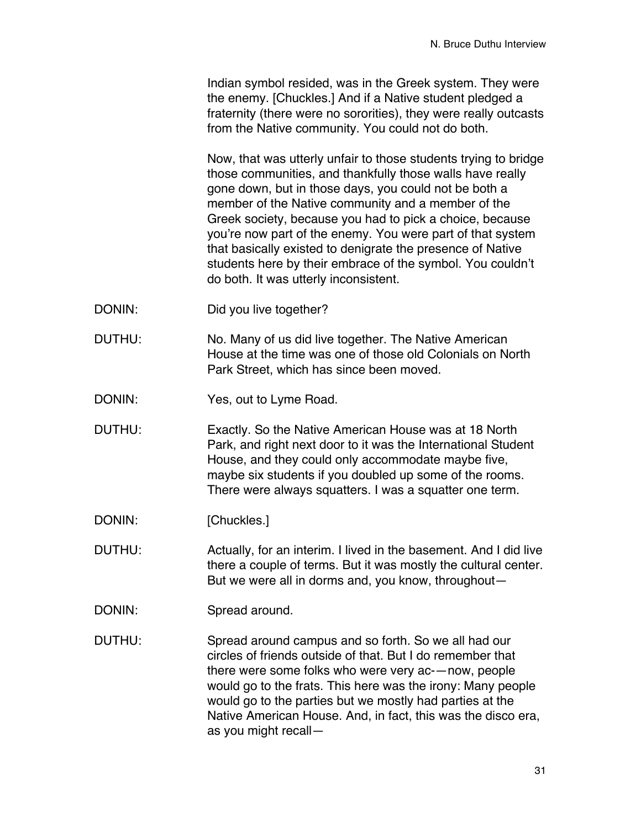Indian symbol resided, was in the Greek system. They were the enemy. [Chuckles.] And if a Native student pledged a fraternity (there were no sororities), they were really outcasts from the Native community. You could not do both.

Now, that was utterly unfair to those students trying to bridge those communities, and thankfully those walls have really gone down, but in those days, you could not be both a member of the Native community and a member of the Greek society, because you had to pick a choice, because you're now part of the enemy. You were part of that system that basically existed to denigrate the presence of Native students here by their embrace of the symbol. You couldn't do both. It was utterly inconsistent.

- DONIN: Did you live together?
- DUTHU: No. Many of us did live together. The Native American House at the time was one of those old Colonials on North Park Street, which has since been moved.
- DONIN: Yes, out to Lyme Road.
- DUTHU: Exactly. So the Native American House was at 18 North Park, and right next door to it was the International Student House, and they could only accommodate maybe five, maybe six students if you doubled up some of the rooms. There were always squatters. I was a squatter one term.
- DONIN: [Chuckles.]
- DUTHU: Actually, for an interim. I lived in the basement. And I did live there a couple of terms. But it was mostly the cultural center. But we were all in dorms and, you know, throughout—
- DONIN: Spread around.

DUTHU: Spread around campus and so forth. So we all had our circles of friends outside of that. But I do remember that there were some folks who were very ac-—now, people would go to the frats. This here was the irony: Many people would go to the parties but we mostly had parties at the Native American House. And, in fact, this was the disco era, as you might recall—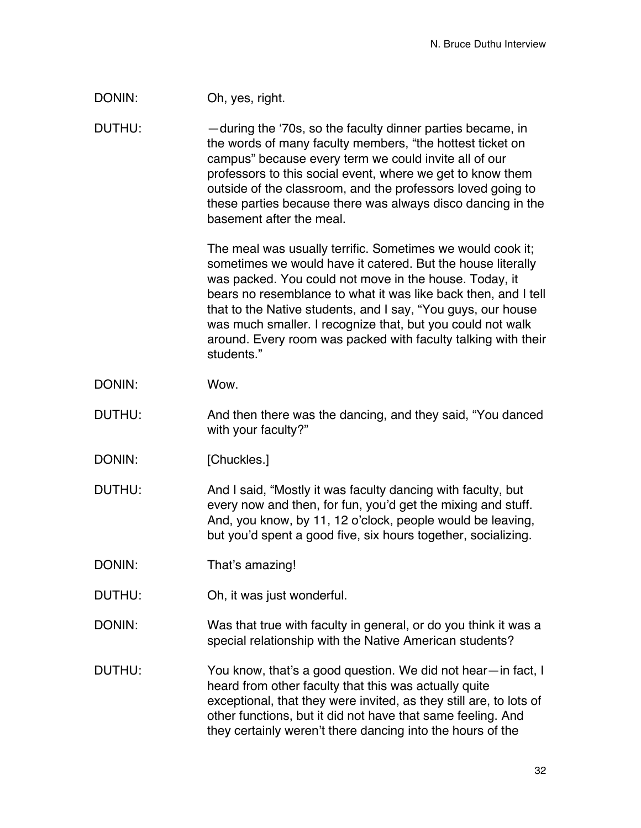### DONIN: Oh, yes, right.

DUTHU: —during the ʻ70s, so the faculty dinner parties became, in the words of many faculty members, "the hottest ticket on campus" because every term we could invite all of our professors to this social event, where we get to know them outside of the classroom, and the professors loved going to these parties because there was always disco dancing in the basement after the meal.

> The meal was usually terrific. Sometimes we would cook it; sometimes we would have it catered. But the house literally was packed. You could not move in the house. Today, it bears no resemblance to what it was like back then, and I tell that to the Native students, and I say, "You guys, our house was much smaller. I recognize that, but you could not walk around. Every room was packed with faculty talking with their students."

- DONIN: Wow.
- DUTHU: And then there was the dancing, and they said, "You danced with your faculty?"
- DONIN: [Chuckles.]

DUTHU: And I said, "Mostly it was faculty dancing with faculty, but every now and then, for fun, you'd get the mixing and stuff. And, you know, by 11, 12 o'clock, people would be leaving, but you'd spent a good five, six hours together, socializing.

- DONIN: That's amazing!
- DUTHU: Oh, it was just wonderful.

DONIN: Was that true with faculty in general, or do you think it was a special relationship with the Native American students?

DUTHU: You know, that's a good question. We did not hear—in fact, I heard from other faculty that this was actually quite exceptional, that they were invited, as they still are, to lots of other functions, but it did not have that same feeling. And they certainly weren't there dancing into the hours of the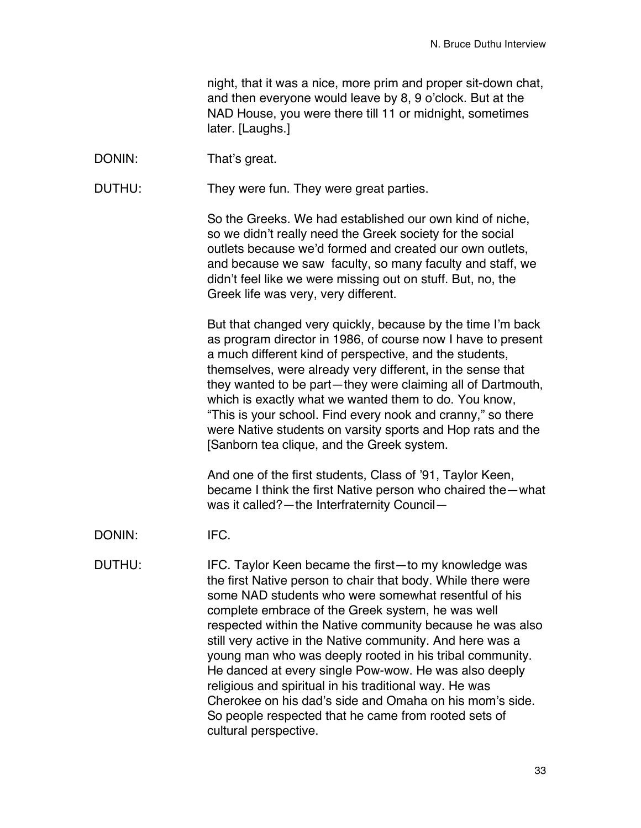night, that it was a nice, more prim and proper sit-down chat, and then everyone would leave by 8, 9 o'clock. But at the NAD House, you were there till 11 or midnight, sometimes later. [Laughs.]

DONIN: That's great.

DUTHU: They were fun. They were great parties.

So the Greeks. We had established our own kind of niche, so we didn't really need the Greek society for the social outlets because we'd formed and created our own outlets, and because we saw faculty, so many faculty and staff, we didn't feel like we were missing out on stuff. But, no, the Greek life was very, very different.

But that changed very quickly, because by the time I'm back as program director in 1986, of course now I have to present a much different kind of perspective, and the students, themselves, were already very different, in the sense that they wanted to be part—they were claiming all of Dartmouth, which is exactly what we wanted them to do. You know, "This is your school. Find every nook and cranny," so there were Native students on varsity sports and Hop rats and the [Sanborn tea clique, and the Greek system.

And one of the first students, Class of '91, Taylor Keen, became I think the first Native person who chaired the—what was it called?—the Interfraternity Council—

DONIN: IFC.

DUTHU: IFC. Taylor Keen became the first-to my knowledge was the first Native person to chair that body. While there were some NAD students who were somewhat resentful of his complete embrace of the Greek system, he was well respected within the Native community because he was also still very active in the Native community. And here was a young man who was deeply rooted in his tribal community. He danced at every single Pow-wow. He was also deeply religious and spiritual in his traditional way. He was Cherokee on his dad's side and Omaha on his mom's side. So people respected that he came from rooted sets of cultural perspective.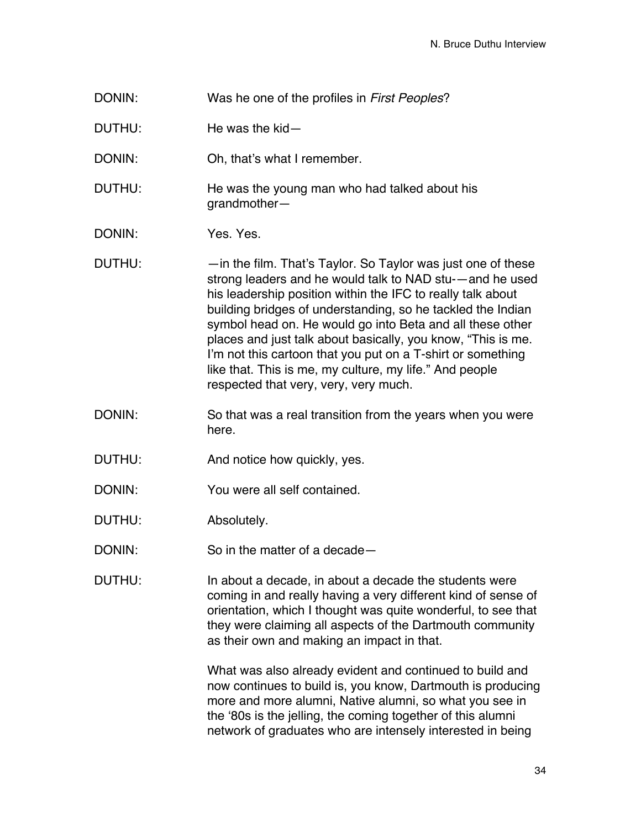- DONIN: Was he one of the profiles in *First Peoples*?
- DUTHU: He was the kid—
- DONIN: Oh, that's what I remember.
- DUTHU: He was the young man who had talked about his grandmother—
- DONIN: Yes. Yes.
- DUTHU:  $\longrightarrow$  —in the film. That's Taylor. So Taylor was just one of these strong leaders and he would talk to NAD stu-—and he used his leadership position within the IFC to really talk about building bridges of understanding, so he tackled the Indian symbol head on. He would go into Beta and all these other places and just talk about basically, you know, "This is me. I'm not this cartoon that you put on a T-shirt or something like that. This is me, my culture, my life." And people respected that very, very, very much.
- DONIN: So that was a real transition from the years when you were here.
- DUTHU: And notice how quickly, yes.
- DONIN: You were all self contained.
- DUTHU: Absolutely.
- DONIN: So in the matter of a decade—
- DUTHU: In about a decade, in about a decade the students were coming in and really having a very different kind of sense of orientation, which I thought was quite wonderful, to see that they were claiming all aspects of the Dartmouth community as their own and making an impact in that.

What was also already evident and continued to build and now continues to build is, you know, Dartmouth is producing more and more alumni, Native alumni, so what you see in the ʻ80s is the jelling, the coming together of this alumni network of graduates who are intensely interested in being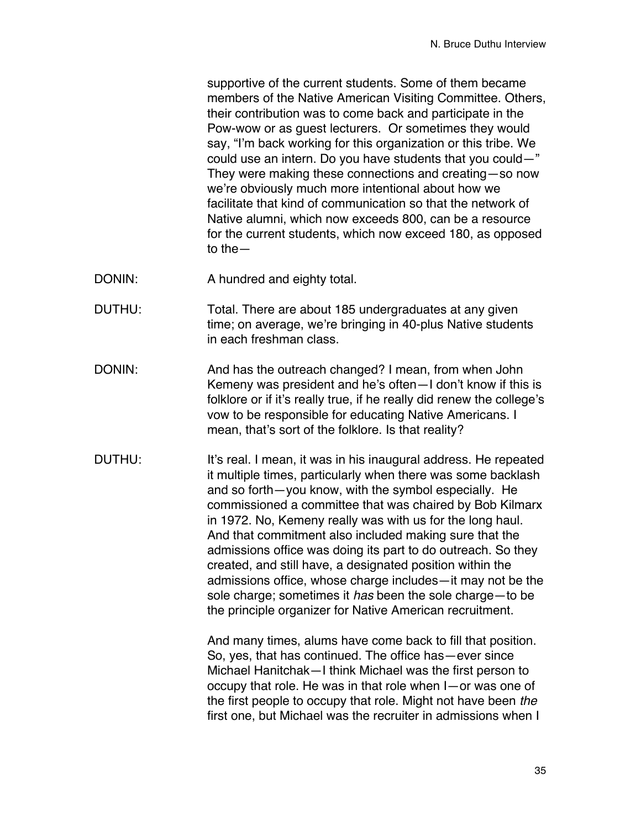supportive of the current students. Some of them became members of the Native American Visiting Committee. Others, their contribution was to come back and participate in the Pow-wow or as guest lecturers. Or sometimes they would say, "I'm back working for this organization or this tribe. We could use an intern. Do you have students that you could—" They were making these connections and creating—so now we're obviously much more intentional about how we facilitate that kind of communication so that the network of Native alumni, which now exceeds 800, can be a resource for the current students, which now exceed 180, as opposed to the—

- DONIN: A hundred and eighty total.
- DUTHU: Total. There are about 185 undergraduates at any given time; on average, we're bringing in 40-plus Native students in each freshman class.
- DONIN: And has the outreach changed? I mean, from when John Kemeny was president and he's often—I don't know if this is folklore or if it's really true, if he really did renew the college's vow to be responsible for educating Native Americans. I mean, that's sort of the folklore. Is that reality?
- DUTHU: It's real. I mean, it was in his inaugural address. He repeated it multiple times, particularly when there was some backlash and so forth—you know, with the symbol especially. He commissioned a committee that was chaired by Bob Kilmarx in 1972. No, Kemeny really was with us for the long haul. And that commitment also included making sure that the admissions office was doing its part to do outreach. So they created, and still have, a designated position within the admissions office, whose charge includes—it may not be the sole charge; sometimes it *has* been the sole charge—to be the principle organizer for Native American recruitment.

And many times, alums have come back to fill that position. So, yes, that has continued. The office has—ever since Michael Hanitchak—I think Michael was the first person to occupy that role. He was in that role when I—or was one of the first people to occupy that role. Might not have been *the* first one, but Michael was the recruiter in admissions when I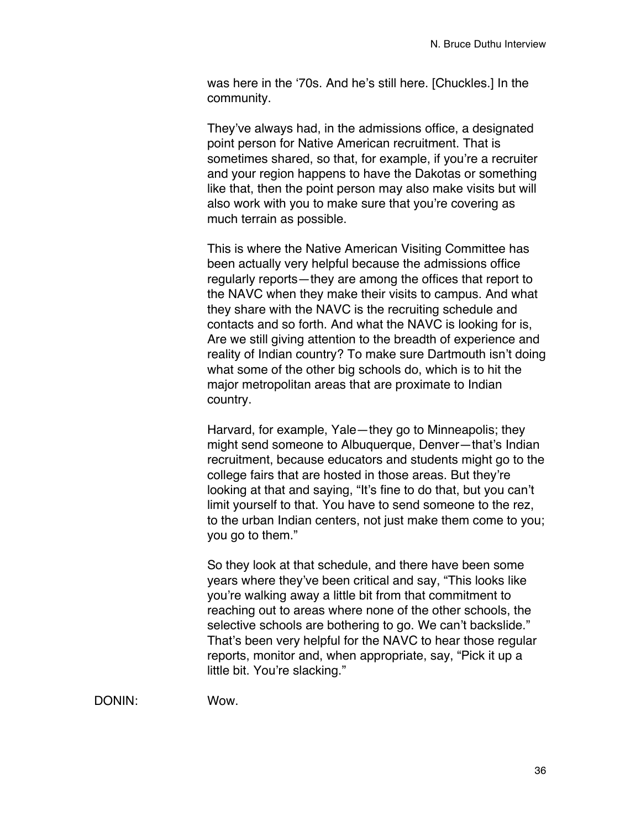was here in the ʻ70s. And he's still here. [Chuckles.] In the community.

They've always had, in the admissions office, a designated point person for Native American recruitment. That is sometimes shared, so that, for example, if you're a recruiter and your region happens to have the Dakotas or something like that, then the point person may also make visits but will also work with you to make sure that you're covering as much terrain as possible.

This is where the Native American Visiting Committee has been actually very helpful because the admissions office regularly reports—they are among the offices that report to the NAVC when they make their visits to campus. And what they share with the NAVC is the recruiting schedule and contacts and so forth. And what the NAVC is looking for is, Are we still giving attention to the breadth of experience and reality of Indian country? To make sure Dartmouth isn't doing what some of the other big schools do, which is to hit the major metropolitan areas that are proximate to Indian country.

Harvard, for example, Yale—they go to Minneapolis; they might send someone to Albuquerque, Denver—that's Indian recruitment, because educators and students might go to the college fairs that are hosted in those areas. But they're looking at that and saying, "It's fine to do that, but you can't limit yourself to that. You have to send someone to the rez, to the urban Indian centers, not just make them come to you; you go to them."

So they look at that schedule, and there have been some years where they've been critical and say, "This looks like you're walking away a little bit from that commitment to reaching out to areas where none of the other schools, the selective schools are bothering to go. We can't backslide." That's been very helpful for the NAVC to hear those regular reports, monitor and, when appropriate, say, "Pick it up a little bit. You're slacking."

DONIN: Wow.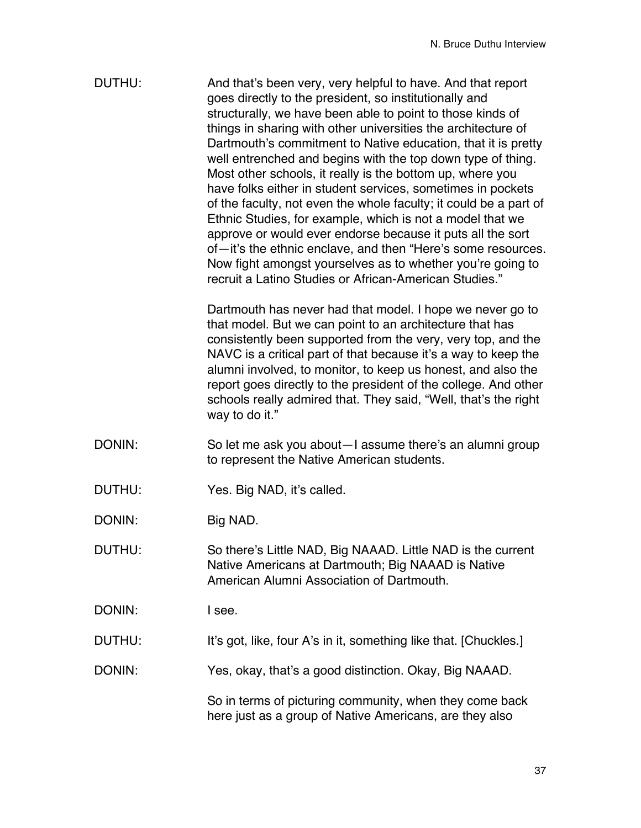| DUTHU: | And that's been very, very helpful to have. And that report       |
|--------|-------------------------------------------------------------------|
|        | goes directly to the president, so institutionally and            |
|        | structurally, we have been able to point to those kinds of        |
|        | things in sharing with other universities the architecture of     |
|        | Dartmouth's commitment to Native education, that it is pretty     |
|        | well entrenched and begins with the top down type of thing.       |
|        | Most other schools, it really is the bottom up, where you         |
|        | have folks either in student services, sometimes in pockets       |
|        | of the faculty, not even the whole faculty; it could be a part of |
|        | Ethnic Studies, for example, which is not a model that we         |
|        | approve or would ever endorse because it puts all the sort        |
|        | of—it's the ethnic enclave, and then "Here's some resources.      |
|        | Now fight amongst yourselves as to whether you're going to        |
|        | recruit a Latino Studies or African-American Studies."            |

Dartmouth has never had that model. I hope we never go to that model. But we can point to an architecture that has consistently been supported from the very, very top, and the NAVC is a critical part of that because it's a way to keep the alumni involved, to monitor, to keep us honest, and also the report goes directly to the president of the college. And other schools really admired that. They said, "Well, that's the right way to do it."

- DONIN: So let me ask you about—I assume there's an alumni group to represent the Native American students.
- DUTHU: Yes. Big NAD, it's called.

DONIN: Big NAD.

DUTHU: So there's Little NAD, Big NAAAD. Little NAD is the current Native Americans at Dartmouth; Big NAAAD is Native American Alumni Association of Dartmouth.

DONIN: I see.

DUTHU: It's got, like, four A's in it, something like that. [Chuckles.]

DONIN: Yes, okay, that's a good distinction. Okay, Big NAAAD.

So in terms of picturing community, when they come back here just as a group of Native Americans, are they also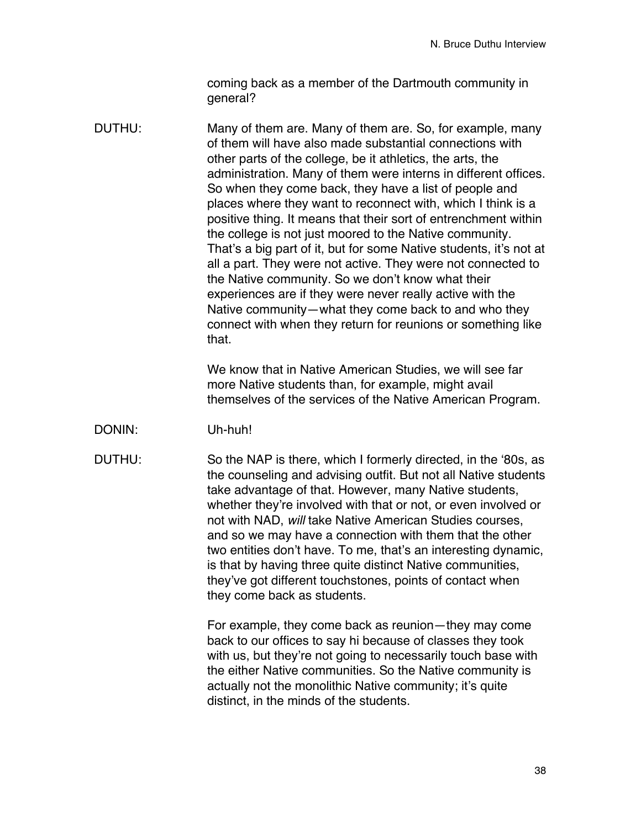coming back as a member of the Dartmouth community in general?

DUTHU: Many of them are. Many of them are. So, for example, many of them will have also made substantial connections with other parts of the college, be it athletics, the arts, the administration. Many of them were interns in different offices. So when they come back, they have a list of people and places where they want to reconnect with, which I think is a positive thing. It means that their sort of entrenchment within the college is not just moored to the Native community. That's a big part of it, but for some Native students, it's not at all a part. They were not active. They were not connected to the Native community. So we don't know what their experiences are if they were never really active with the Native community—what they come back to and who they connect with when they return for reunions or something like that.

> We know that in Native American Studies, we will see far more Native students than, for example, might avail themselves of the services of the Native American Program.

- DONIN: Uh-huh!
- DUTHU: So the NAP is there, which I formerly directed, in the ʻ80s, as the counseling and advising outfit. But not all Native students take advantage of that. However, many Native students, whether they're involved with that or not, or even involved or not with NAD, *will* take Native American Studies courses, and so we may have a connection with them that the other two entities don't have. To me, that's an interesting dynamic, is that by having three quite distinct Native communities, they've got different touchstones, points of contact when they come back as students.

For example, they come back as reunion—they may come back to our offices to say hi because of classes they took with us, but they're not going to necessarily touch base with the either Native communities. So the Native community is actually not the monolithic Native community; it's quite distinct, in the minds of the students.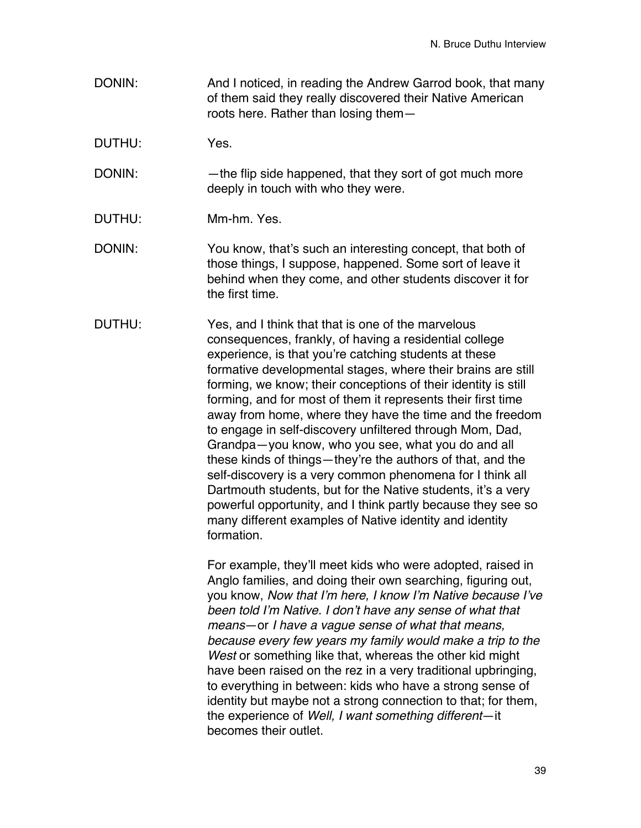- DONIN: And I noticed, in reading the Andrew Garrod book, that many of them said they really discovered their Native American roots here. Rather than losing them—
- DUTHU: Yes.
- DONIN: —the flip side happened, that they sort of got much more deeply in touch with who they were.
- DUTHU: Mm-hm. Yes.
- DONIN: You know, that's such an interesting concept, that both of those things, I suppose, happened. Some sort of leave it behind when they come, and other students discover it for the first time.
- DUTHU: Yes, and I think that that is one of the marvelous consequences, frankly, of having a residential college experience, is that you're catching students at these formative developmental stages, where their brains are still forming, we know; their conceptions of their identity is still forming, and for most of them it represents their first time away from home, where they have the time and the freedom to engage in self-discovery unfiltered through Mom, Dad, Grandpa—you know, who you see, what you do and all these kinds of things—they're the authors of that, and the self-discovery is a very common phenomena for I think all Dartmouth students, but for the Native students, it's a very powerful opportunity, and I think partly because they see so many different examples of Native identity and identity formation.

For example, they'll meet kids who were adopted, raised in Anglo families, and doing their own searching, figuring out, you know, *Now that I*'*m here, I know I*'*m Native because I*'*ve been told I*'*m Native. I don*'*t have any sense of what that means*—or *I have a vague sense of what that means, because every few years my family would make a trip to the West* or something like that, whereas the other kid might have been raised on the rez in a very traditional upbringing, to everything in between: kids who have a strong sense of identity but maybe not a strong connection to that; for them, the experience of *Well, I want something different*—it becomes their outlet.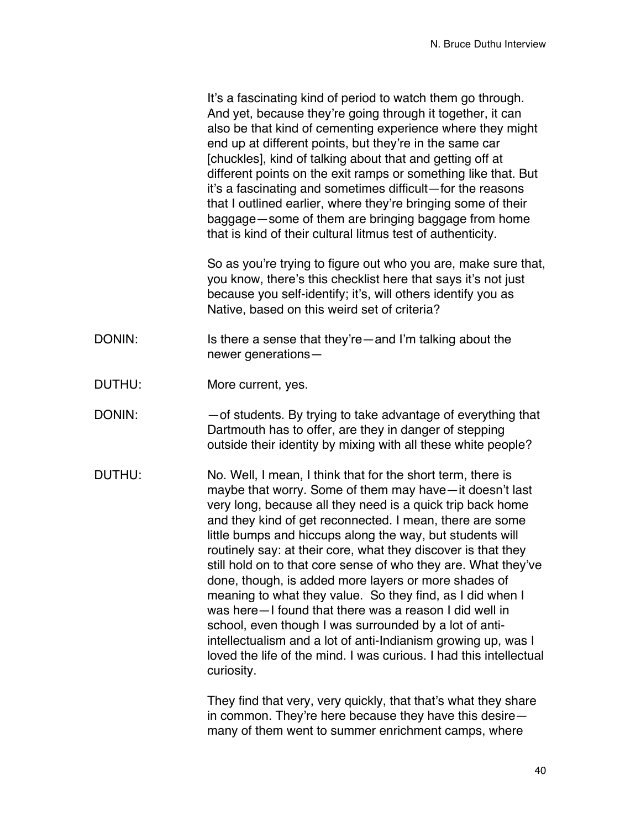It's a fascinating kind of period to watch them go through. And yet, because they're going through it together, it can also be that kind of cementing experience where they might end up at different points, but they're in the same car [chuckles], kind of talking about that and getting off at different points on the exit ramps or something like that. But it's a fascinating and sometimes difficult—for the reasons that I outlined earlier, where they're bringing some of their baggage—some of them are bringing baggage from home that is kind of their cultural litmus test of authenticity.

So as you're trying to figure out who you are, make sure that, you know, there's this checklist here that says it's not just because you self-identify; it's, will others identify you as Native, based on this weird set of criteria?

- DONIN: Is there a sense that they're—and I'm talking about the newer generations—
- DUTHU: More current, yes.
- DONIN:  $-$  of students. By trying to take advantage of everything that Dartmouth has to offer, are they in danger of stepping outside their identity by mixing with all these white people?
- DUTHU: No. Well, I mean, I think that for the short term, there is maybe that worry. Some of them may have—it doesn't last very long, because all they need is a quick trip back home and they kind of get reconnected. I mean, there are some little bumps and hiccups along the way, but students will routinely say: at their core, what they discover is that they still hold on to that core sense of who they are. What they've done, though, is added more layers or more shades of meaning to what they value. So they find, as I did when I was here—I found that there was a reason I did well in school, even though I was surrounded by a lot of antiintellectualism and a lot of anti-Indianism growing up, was I loved the life of the mind. I was curious. I had this intellectual curiosity.

They find that very, very quickly, that that's what they share in common. They're here because they have this desire many of them went to summer enrichment camps, where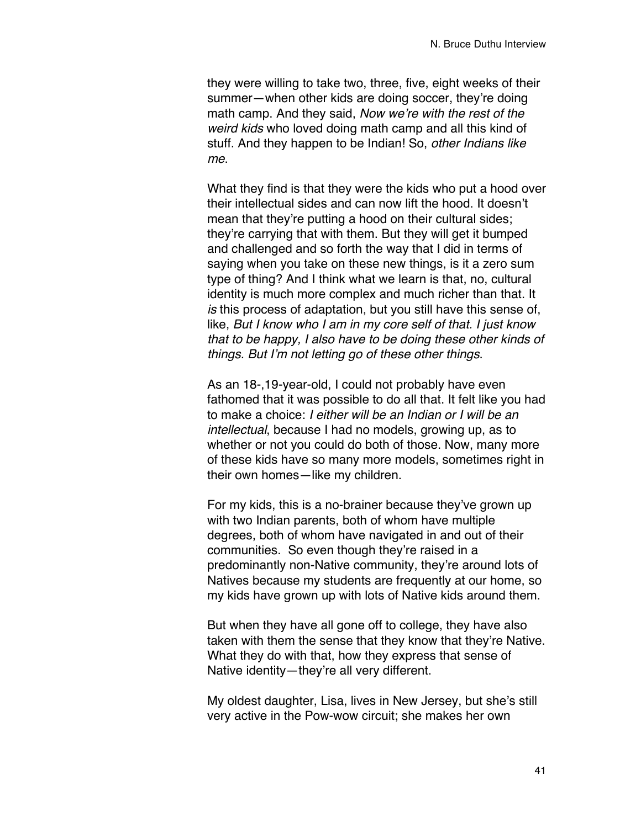they were willing to take two, three, five, eight weeks of their summer—when other kids are doing soccer, they're doing math camp. And they said, *Now we*'*re with the rest of the weird kids* who loved doing math camp and all this kind of stuff. And they happen to be Indian! So, *other Indians like me*.

What they find is that they were the kids who put a hood over their intellectual sides and can now lift the hood. It doesn't mean that they're putting a hood on their cultural sides; they're carrying that with them. But they will get it bumped and challenged and so forth the way that I did in terms of saying when you take on these new things, is it a zero sum type of thing? And I think what we learn is that, no, cultural identity is much more complex and much richer than that. It *is* this process of adaptation, but you still have this sense of, like, *But I know who I am in my core self of that. I just know that to be happy, I also have to be doing these other kinds of things. But I*'*m not letting go of these other things*.

As an 18-,19-year-old, I could not probably have even fathomed that it was possible to do all that. It felt like you had to make a choice: *I either will be an Indian or I will be an intellectual*, because I had no models, growing up, as to whether or not you could do both of those. Now, many more of these kids have so many more models, sometimes right in their own homes—like my children.

For my kids, this is a no-brainer because they've grown up with two Indian parents, both of whom have multiple degrees, both of whom have navigated in and out of their communities. So even though they're raised in a predominantly non-Native community, they're around lots of Natives because my students are frequently at our home, so my kids have grown up with lots of Native kids around them.

But when they have all gone off to college, they have also taken with them the sense that they know that they're Native. What they do with that, how they express that sense of Native identity—they're all very different.

My oldest daughter, Lisa, lives in New Jersey, but she's still very active in the Pow-wow circuit; she makes her own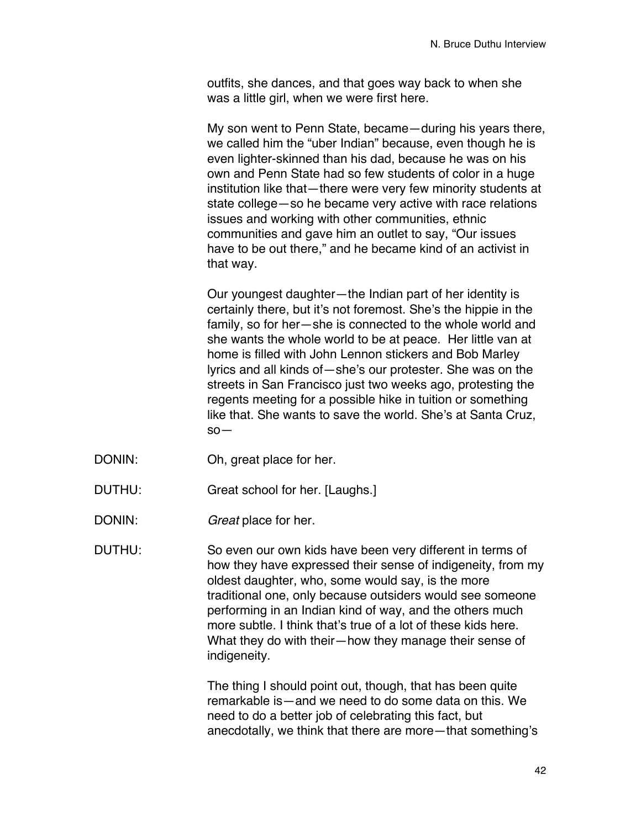outfits, she dances, and that goes way back to when she was a little girl, when we were first here.

My son went to Penn State, became—during his years there, we called him the "uber Indian" because, even though he is even lighter-skinned than his dad, because he was on his own and Penn State had so few students of color in a huge institution like that—there were very few minority students at state college—so he became very active with race relations issues and working with other communities, ethnic communities and gave him an outlet to say, "Our issues have to be out there," and he became kind of an activist in that way.

Our youngest daughter—the Indian part of her identity is certainly there, but it's not foremost. She's the hippie in the family, so for her—she is connected to the whole world and she wants the whole world to be at peace. Her little van at home is filled with John Lennon stickers and Bob Marley lyrics and all kinds of—she's our protester. She was on the streets in San Francisco just two weeks ago, protesting the regents meeting for a possible hike in tuition or something like that. She wants to save the world. She's at Santa Cruz, so—

- DONIN: Oh, great place for her.
- DUTHU: Great school for her. [Laughs.]
- DONIN: *Great* place for her.

DUTHU: So even our own kids have been very different in terms of how they have expressed their sense of indigeneity, from my oldest daughter, who, some would say, is the more traditional one, only because outsiders would see someone performing in an Indian kind of way, and the others much more subtle. I think that's true of a lot of these kids here. What they do with their—how they manage their sense of indigeneity.

> The thing I should point out, though, that has been quite remarkable is—and we need to do some data on this. We need to do a better job of celebrating this fact, but anecdotally, we think that there are more—that something's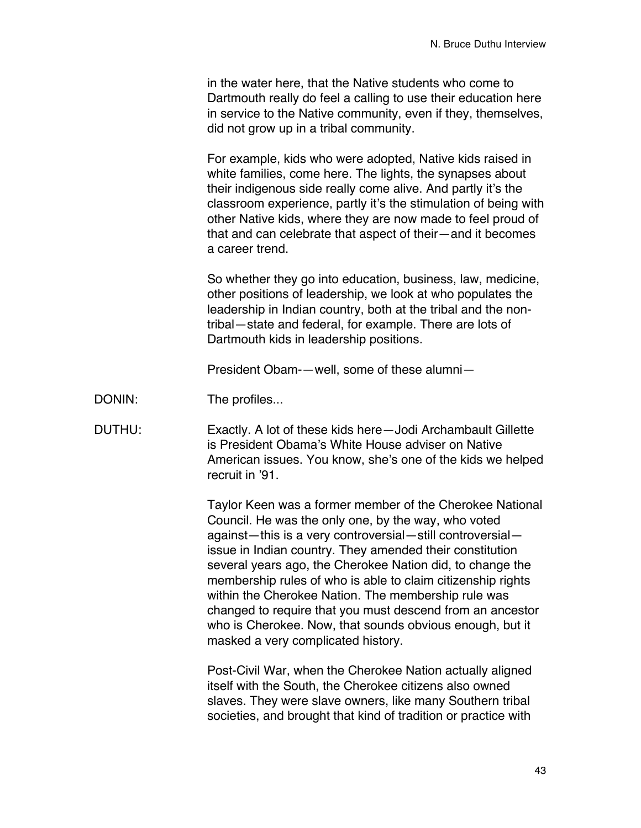in the water here, that the Native students who come to Dartmouth really do feel a calling to use their education here in service to the Native community, even if they, themselves, did not grow up in a tribal community.

For example, kids who were adopted, Native kids raised in white families, come here. The lights, the synapses about their indigenous side really come alive. And partly it's the classroom experience, partly it's the stimulation of being with other Native kids, where they are now made to feel proud of that and can celebrate that aspect of their—and it becomes a career trend.

So whether they go into education, business, law, medicine, other positions of leadership, we look at who populates the leadership in Indian country, both at the tribal and the nontribal—state and federal, for example. There are lots of Dartmouth kids in leadership positions.

President Obam-—well, some of these alumni—

- DONIN: The profiles...
- DUTHU: Exactly. A lot of these kids here—Jodi Archambault Gillette is President Obama's White House adviser on Native American issues. You know, she's one of the kids we helped recruit in '91.

Taylor Keen was a former member of the Cherokee National Council. He was the only one, by the way, who voted against—this is a very controversial—still controversial issue in Indian country. They amended their constitution several years ago, the Cherokee Nation did, to change the membership rules of who is able to claim citizenship rights within the Cherokee Nation. The membership rule was changed to require that you must descend from an ancestor who is Cherokee. Now, that sounds obvious enough, but it masked a very complicated history.

Post-Civil War, when the Cherokee Nation actually aligned itself with the South, the Cherokee citizens also owned slaves. They were slave owners, like many Southern tribal societies, and brought that kind of tradition or practice with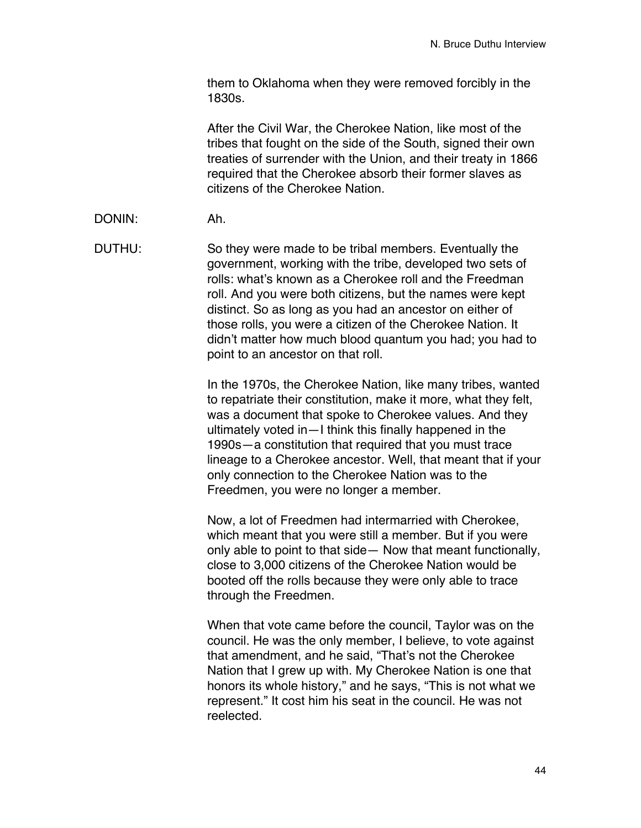them to Oklahoma when they were removed forcibly in the 1830s.

After the Civil War, the Cherokee Nation, like most of the tribes that fought on the side of the South, signed their own treaties of surrender with the Union, and their treaty in 1866 required that the Cherokee absorb their former slaves as citizens of the Cherokee Nation.

DONIN: Ah.

DUTHU: So they were made to be tribal members. Eventually the government, working with the tribe, developed two sets of rolls: what's known as a Cherokee roll and the Freedman roll. And you were both citizens, but the names were kept distinct. So as long as you had an ancestor on either of those rolls, you were a citizen of the Cherokee Nation. It didn't matter how much blood quantum you had; you had to point to an ancestor on that roll.

> In the 1970s, the Cherokee Nation, like many tribes, wanted to repatriate their constitution, make it more, what they felt, was a document that spoke to Cherokee values. And they ultimately voted in—I think this finally happened in the 1990s—a constitution that required that you must trace lineage to a Cherokee ancestor. Well, that meant that if your only connection to the Cherokee Nation was to the Freedmen, you were no longer a member.

> Now, a lot of Freedmen had intermarried with Cherokee, which meant that you were still a member. But if you were only able to point to that side— Now that meant functionally, close to 3,000 citizens of the Cherokee Nation would be booted off the rolls because they were only able to trace through the Freedmen.

When that vote came before the council, Taylor was on the council. He was the only member, I believe, to vote against that amendment, and he said, "That's not the Cherokee Nation that I grew up with. My Cherokee Nation is one that honors its whole history," and he says, "This is not what we represent." It cost him his seat in the council. He was not reelected.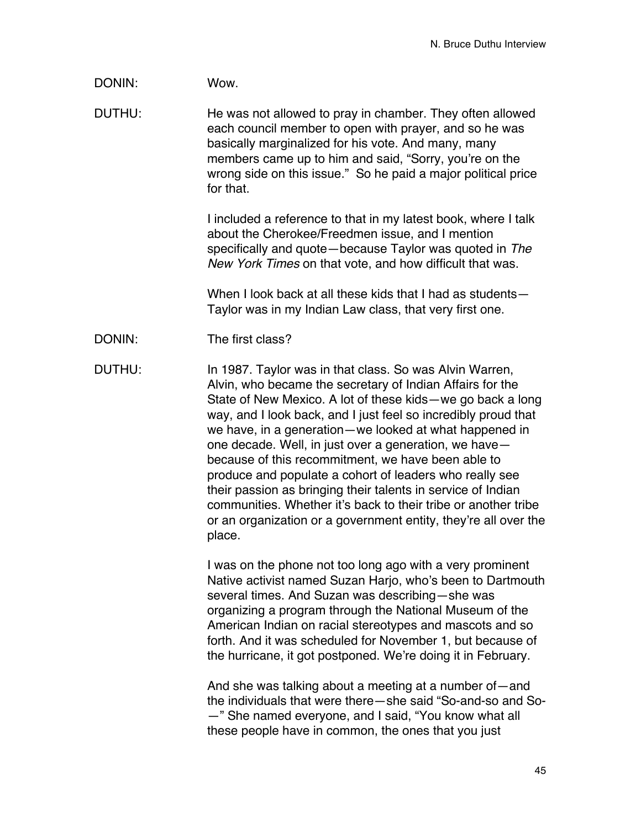# DONIN: Wow.

DUTHU: He was not allowed to pray in chamber. They often allowed each council member to open with prayer, and so he was basically marginalized for his vote. And many, many members came up to him and said, "Sorry, you're on the wrong side on this issue." So he paid a major political price for that.

> I included a reference to that in my latest book, where I talk about the Cherokee/Freedmen issue, and I mention specifically and quote—because Taylor was quoted in *The New York Times* on that vote, and how difficult that was.

When I look back at all these kids that I had as students-Taylor was in my Indian Law class, that very first one.

DONIN: The first class?

DUTHU: In 1987. Taylor was in that class. So was Alvin Warren, Alvin, who became the secretary of Indian Affairs for the State of New Mexico. A lot of these kids—we go back a long way, and I look back, and I just feel so incredibly proud that we have, in a generation—we looked at what happened in one decade. Well, in just over a generation, we have because of this recommitment, we have been able to produce and populate a cohort of leaders who really see their passion as bringing their talents in service of Indian communities. Whether it's back to their tribe or another tribe or an organization or a government entity, they're all over the place.

> I was on the phone not too long ago with a very prominent Native activist named Suzan Harjo, who's been to Dartmouth several times. And Suzan was describing—she was organizing a program through the National Museum of the American Indian on racial stereotypes and mascots and so forth. And it was scheduled for November 1, but because of the hurricane, it got postponed. We're doing it in February.

> And she was talking about a meeting at a number of—and the individuals that were there—she said "So-and-so and So- —" She named everyone, and I said, "You know what all these people have in common, the ones that you just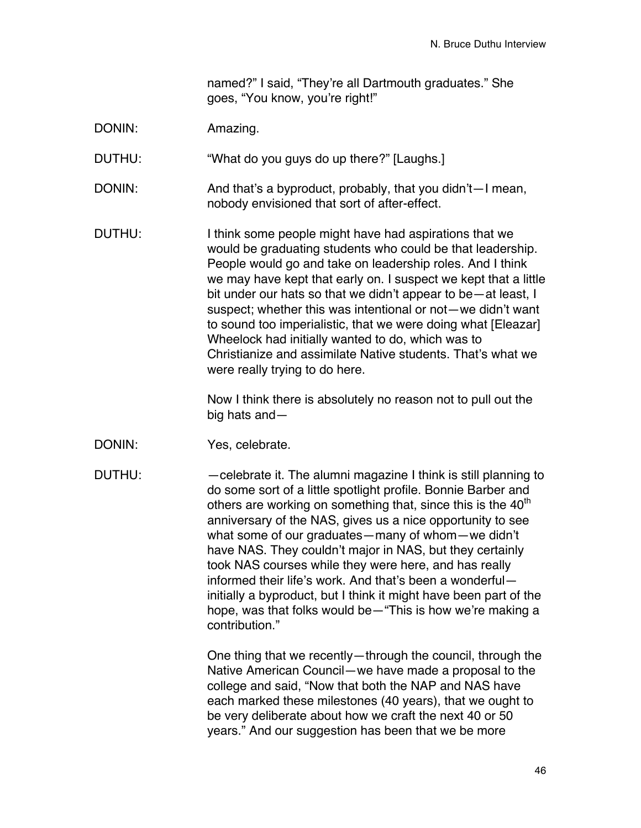named?" I said, "They're all Dartmouth graduates." She goes, "You know, you're right!"

DONIN: Amazing.

DUTHU: "What do you guys do up there?" [Laughs.]

- DONIN: And that's a byproduct, probably, that you didn't—I mean, nobody envisioned that sort of after-effect.
- DUTHU: I think some people might have had aspirations that we would be graduating students who could be that leadership. People would go and take on leadership roles. And I think we may have kept that early on. I suspect we kept that a little bit under our hats so that we didn't appear to be—at least, I suspect; whether this was intentional or not—we didn't want to sound too imperialistic, that we were doing what [Eleazar] Wheelock had initially wanted to do, which was to Christianize and assimilate Native students. That's what we were really trying to do here.

Now I think there is absolutely no reason not to pull out the big hats and—

- DONIN: Yes, celebrate.
- DUTHU: —celebrate it. The alumni magazine I think is still planning to do some sort of a little spotlight profile. Bonnie Barber and others are working on something that, since this is the  $40<sup>th</sup>$ anniversary of the NAS, gives us a nice opportunity to see what some of our graduates—many of whom—we didn't have NAS. They couldn't major in NAS, but they certainly took NAS courses while they were here, and has really informed their life's work. And that's been a wonderful initially a byproduct, but I think it might have been part of the hope, was that folks would be—"This is how we're making a contribution."

One thing that we recently—through the council, through the Native American Council—we have made a proposal to the college and said, "Now that both the NAP and NAS have each marked these milestones (40 years), that we ought to be very deliberate about how we craft the next 40 or 50 years." And our suggestion has been that we be more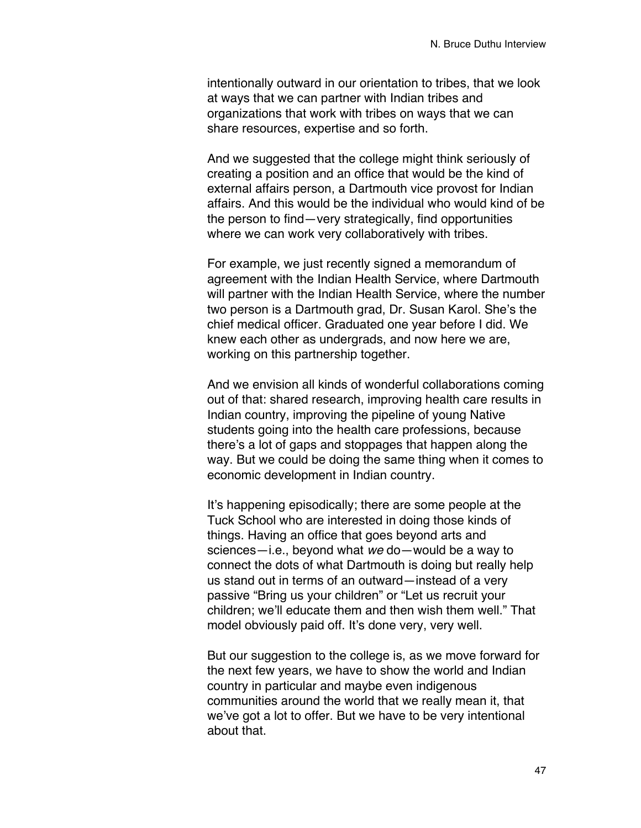intentionally outward in our orientation to tribes, that we look at ways that we can partner with Indian tribes and organizations that work with tribes on ways that we can share resources, expertise and so forth.

And we suggested that the college might think seriously of creating a position and an office that would be the kind of external affairs person, a Dartmouth vice provost for Indian affairs. And this would be the individual who would kind of be the person to find—very strategically, find opportunities where we can work very collaboratively with tribes.

For example, we just recently signed a memorandum of agreement with the Indian Health Service, where Dartmouth will partner with the Indian Health Service, where the number two person is a Dartmouth grad, Dr. Susan Karol. She's the chief medical officer. Graduated one year before I did. We knew each other as undergrads, and now here we are, working on this partnership together.

And we envision all kinds of wonderful collaborations coming out of that: shared research, improving health care results in Indian country, improving the pipeline of young Native students going into the health care professions, because there's a lot of gaps and stoppages that happen along the way. But we could be doing the same thing when it comes to economic development in Indian country.

It's happening episodically; there are some people at the Tuck School who are interested in doing those kinds of things. Having an office that goes beyond arts and sciences—i.e., beyond what *we* do—would be a way to connect the dots of what Dartmouth is doing but really help us stand out in terms of an outward—instead of a very passive "Bring us your children" or "Let us recruit your children; we'll educate them and then wish them well." That model obviously paid off. It's done very, very well.

But our suggestion to the college is, as we move forward for the next few years, we have to show the world and Indian country in particular and maybe even indigenous communities around the world that we really mean it, that we've got a lot to offer. But we have to be very intentional about that.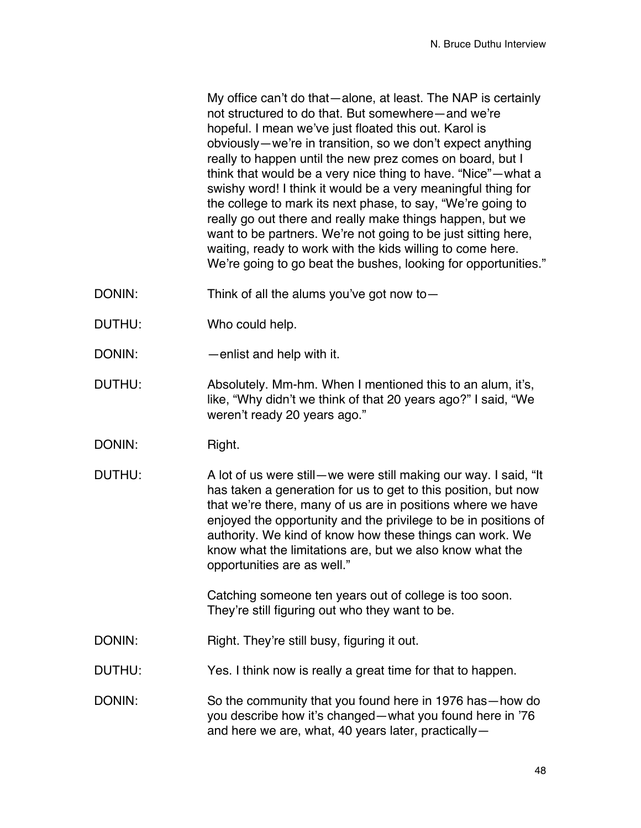My office can't do that—alone, at least. The NAP is certainly not structured to do that. But somewhere—and we're hopeful. I mean we've just floated this out. Karol is obviously—we're in transition, so we don't expect anything really to happen until the new prez comes on board, but I think that would be a very nice thing to have. "Nice"—what a swishy word! I think it would be a very meaningful thing for the college to mark its next phase, to say, "We're going to really go out there and really make things happen, but we want to be partners. We're not going to be just sitting here, waiting, ready to work with the kids willing to come here. We're going to go beat the bushes, looking for opportunities."

- DONIN: Think of all the alums you've got now to-
- DUTHU: Who could help.
- DONIN: —enlist and help with it.
- DUTHU: Absolutely. Mm-hm. When I mentioned this to an alum, it's, like, "Why didn't we think of that 20 years ago?" I said, "We weren't ready 20 years ago."
- DONIN: Right.
- DUTHU: A lot of us were still—we were still making our way. I said, "It has taken a generation for us to get to this position, but now that we're there, many of us are in positions where we have enjoyed the opportunity and the privilege to be in positions of authority. We kind of know how these things can work. We know what the limitations are, but we also know what the opportunities are as well."

Catching someone ten years out of college is too soon. They're still figuring out who they want to be.

- DONIN: Right. They're still busy, figuring it out.
- DUTHU: Yes. I think now is really a great time for that to happen.
- DONIN: So the community that you found here in 1976 has—how do you describe how it's changed—what you found here in '76 and here we are, what, 40 years later, practically—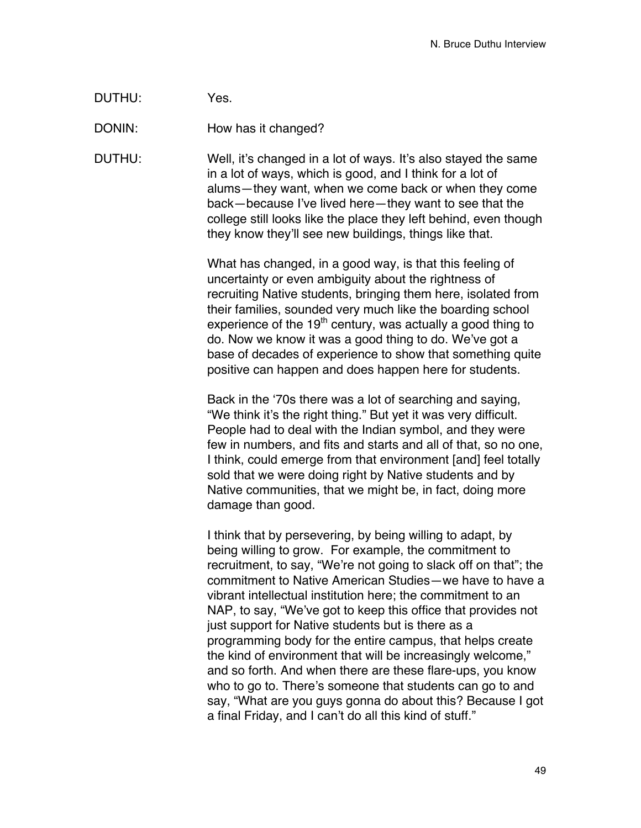| DUTHU: | Yes. |
|--------|------|
|--------|------|

DONIN: How has it changed?

DUTHU: Well, it's changed in a lot of ways. It's also stayed the same in a lot of ways, which is good, and I think for a lot of alums—they want, when we come back or when they come back—because I've lived here—they want to see that the college still looks like the place they left behind, even though they know they'll see new buildings, things like that.

> What has changed, in a good way, is that this feeling of uncertainty or even ambiguity about the rightness of recruiting Native students, bringing them here, isolated from their families, sounded very much like the boarding school experience of the  $19<sup>th</sup>$  century, was actually a good thing to do. Now we know it was a good thing to do. We've got a base of decades of experience to show that something quite positive can happen and does happen here for students.

> Back in the ʻ70s there was a lot of searching and saying, "We think it's the right thing." But yet it was very difficult. People had to deal with the Indian symbol, and they were few in numbers, and fits and starts and all of that, so no one, I think, could emerge from that environment [and] feel totally sold that we were doing right by Native students and by Native communities, that we might be, in fact, doing more damage than good.

I think that by persevering, by being willing to adapt, by being willing to grow. For example, the commitment to recruitment, to say, "We're not going to slack off on that"; the commitment to Native American Studies—we have to have a vibrant intellectual institution here; the commitment to an NAP, to say, "We've got to keep this office that provides not just support for Native students but is there as a programming body for the entire campus, that helps create the kind of environment that will be increasingly welcome," and so forth. And when there are these flare-ups, you know who to go to. There's someone that students can go to and say, "What are you guys gonna do about this? Because I got a final Friday, and I can't do all this kind of stuff."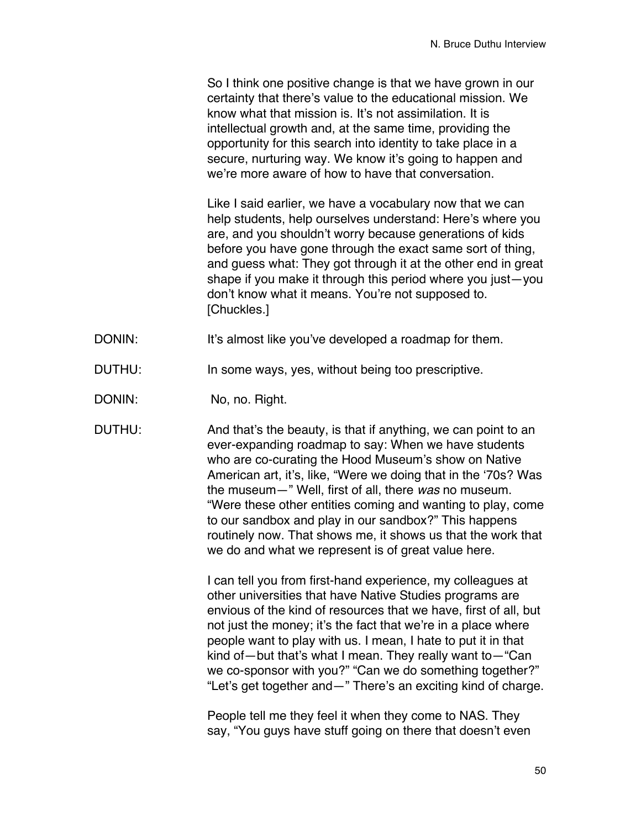So I think one positive change is that we have grown in our certainty that there's value to the educational mission. We know what that mission is. It's not assimilation. It is intellectual growth and, at the same time, providing the opportunity for this search into identity to take place in a secure, nurturing way. We know it's going to happen and we're more aware of how to have that conversation.

Like I said earlier, we have a vocabulary now that we can help students, help ourselves understand: Here's where you are, and you shouldn't worry because generations of kids before you have gone through the exact same sort of thing, and guess what: They got through it at the other end in great shape if you make it through this period where you just—you don't know what it means. You're not supposed to. [Chuckles.]

- DONIN: It's almost like you've developed a roadmap for them.
- DUTHU: In some ways, yes, without being too prescriptive.
- DONIN: No, no. Right.

DUTHU: And that's the beauty, is that if anything, we can point to an ever-expanding roadmap to say: When we have students who are co-curating the Hood Museum's show on Native American art, it's, like, "Were we doing that in the ʻ70s? Was the museum—" Well, first of all, there *was* no museum. "Were these other entities coming and wanting to play, come to our sandbox and play in our sandbox?" This happens routinely now. That shows me, it shows us that the work that we do and what we represent is of great value here.

> I can tell you from first-hand experience, my colleagues at other universities that have Native Studies programs are envious of the kind of resources that we have, first of all, but not just the money; it's the fact that we're in a place where people want to play with us. I mean, I hate to put it in that kind of—but that's what I mean. They really want to—"Can we co-sponsor with you?" "Can we do something together?" "Let's get together and—" There's an exciting kind of charge.

People tell me they feel it when they come to NAS. They say, "You guys have stuff going on there that doesn't even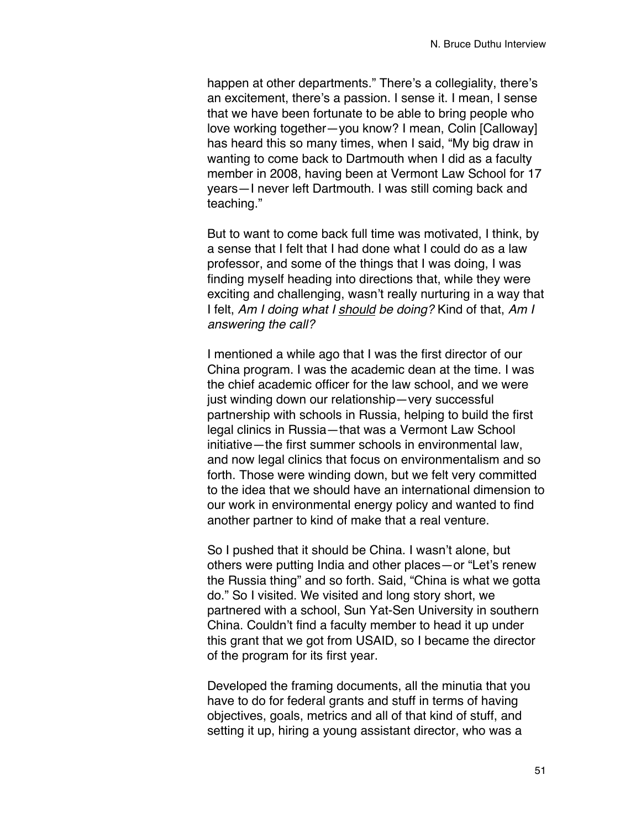happen at other departments." There's a collegiality, there's an excitement, there's a passion. I sense it. I mean, I sense that we have been fortunate to be able to bring people who love working together—you know? I mean, Colin [Calloway] has heard this so many times, when I said, "My big draw in wanting to come back to Dartmouth when I did as a faculty member in 2008, having been at Vermont Law School for 17 years—I never left Dartmouth. I was still coming back and teaching."

But to want to come back full time was motivated, I think, by a sense that I felt that I had done what I could do as a law professor, and some of the things that I was doing, I was finding myself heading into directions that, while they were exciting and challenging, wasn't really nurturing in a way that I felt, *Am I doing what I should be doing?* Kind of that, *Am I answering the call?*

I mentioned a while ago that I was the first director of our China program. I was the academic dean at the time. I was the chief academic officer for the law school, and we were just winding down our relationship—very successful partnership with schools in Russia, helping to build the first legal clinics in Russia—that was a Vermont Law School initiative—the first summer schools in environmental law, and now legal clinics that focus on environmentalism and so forth. Those were winding down, but we felt very committed to the idea that we should have an international dimension to our work in environmental energy policy and wanted to find another partner to kind of make that a real venture.

So I pushed that it should be China. I wasn't alone, but others were putting India and other places—or "Let's renew the Russia thing" and so forth. Said, "China is what we gotta do." So I visited. We visited and long story short, we partnered with a school, Sun Yat-Sen University in southern China. Couldn't find a faculty member to head it up under this grant that we got from USAID, so I became the director of the program for its first year.

Developed the framing documents, all the minutia that you have to do for federal grants and stuff in terms of having objectives, goals, metrics and all of that kind of stuff, and setting it up, hiring a young assistant director, who was a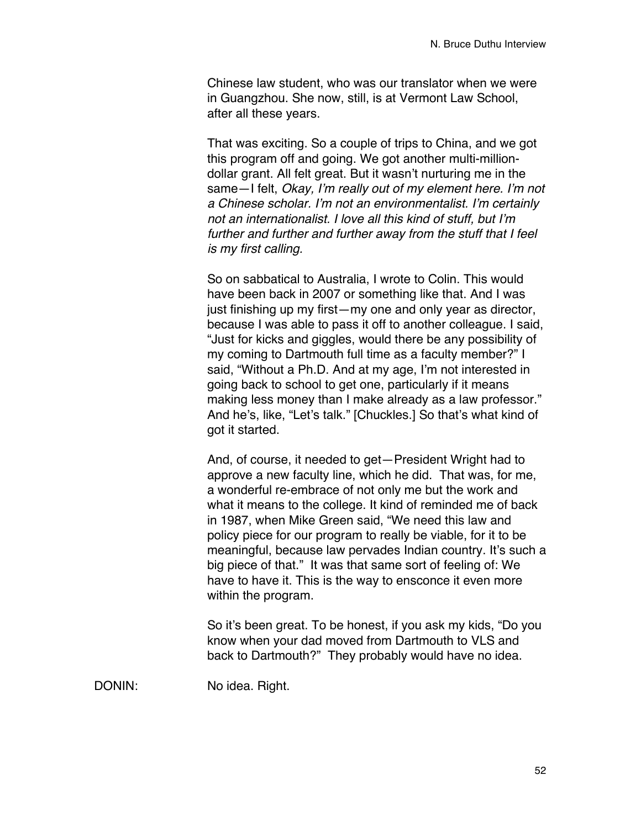Chinese law student, who was our translator when we were in Guangzhou. She now, still, is at Vermont Law School, after all these years.

That was exciting. So a couple of trips to China, and we got this program off and going. We got another multi-milliondollar grant. All felt great. But it wasn't nurturing me in the same—I felt, *Okay, I*'*m really out of my element here. I*'*m not a Chinese scholar. I*'*m not an environmentalist. I*'*m certainly not an internationalist. I love all this kind of stuff, but I*'*m further and further and further away from the stuff that I feel is my first calling.*

So on sabbatical to Australia, I wrote to Colin. This would have been back in 2007 or something like that. And I was just finishing up my first—my one and only year as director, because I was able to pass it off to another colleague. I said, "Just for kicks and giggles, would there be any possibility of my coming to Dartmouth full time as a faculty member?" I said, "Without a Ph.D. And at my age, I'm not interested in going back to school to get one, particularly if it means making less money than I make already as a law professor." And he's, like, "Let's talk." [Chuckles.] So that's what kind of got it started.

And, of course, it needed to get—President Wright had to approve a new faculty line, which he did. That was, for me, a wonderful re-embrace of not only me but the work and what it means to the college. It kind of reminded me of back in 1987, when Mike Green said, "We need this law and policy piece for our program to really be viable, for it to be meaningful, because law pervades Indian country. It's such a big piece of that." It was that same sort of feeling of: We have to have it. This is the way to ensconce it even more within the program.

So it's been great. To be honest, if you ask my kids, "Do you know when your dad moved from Dartmouth to VLS and back to Dartmouth?" They probably would have no idea.

DONIN: No idea. Right.